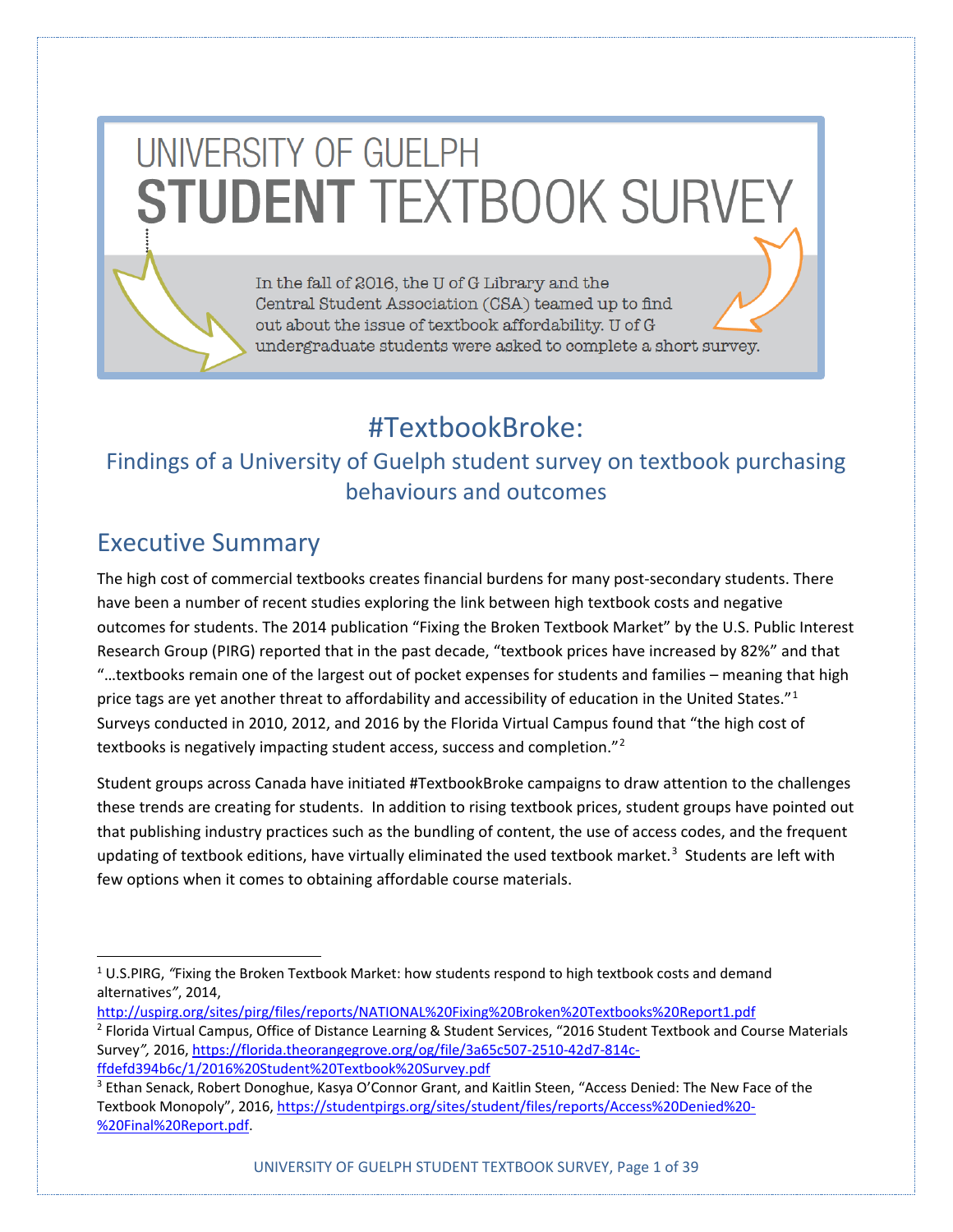# UNIVERSITY OF GUELPH **STUDENT TEXTBOOK SURVEY**

In the fall of 2016, the U of G Library and the Central Student Association (CSA) teamed up to find out about the issue of textbook affordability. U of G undergraduate students were asked to complete a short survey.

# #TextbookBroke:

## Findings of a University of Guelph student survey on textbook purchasing behaviours and outcomes

# Executive Summary

The high cost of commercial textbooks creates financial burdens for many post-secondary students. There have been a number of recent studies exploring the link between high textbook costs and negative outcomes for students. The 2014 publication "Fixing the Broken Textbook Market" by the U.S. Public Interest Research Group (PIRG) reported that in the past decade, "textbook prices have increased by 82%" and that "…textbooks remain one of the largest out of pocket expenses for students and families – meaning that high price tags are yet another threat to affordability and accessibility of education in the United States."<sup>[1](#page-0-0)</sup> Surveys conducted in 2010, 2012, and 2016 by the Florida Virtual Campus found that "the high cost of textbooks is negatively impacting student access, success and completion."<sup>[2](#page-0-1)</sup>

Student groups across Canada have initiated #TextbookBroke campaigns to draw attention to the challenges these trends are creating for students. In addition to rising textbook prices, student groups have pointed out that publishing industry practices such as the bundling of content, the use of access codes, and the frequent updating of textbook editions, have virtually eliminated the used textbook market.<sup>[3](#page-0-2)</sup> Students are left with few options when it comes to obtaining affordable course materials.

<span id="page-0-1"></span><http://uspirg.org/sites/pirg/files/reports/NATIONAL%20Fixing%20Broken%20Textbooks%20Report1.pdf> <sup>2</sup> Florida Virtual Campus, Office of Distance Learning & Student Services, "2016 Student Textbook and Course Materials Survey*",* 2016[, https://florida.theorangegrove.org/og/file/3a65c507-2510-42d7-814c](https://florida.theorangegrove.org/og/file/3a65c507-2510-42d7-814c-ffdefd394b6c/1/2016%20Student%20Textbook%20Survey.pdf)[ffdefd394b6c/1/2016%20Student%20Textbook%20Survey.pdf](https://florida.theorangegrove.org/og/file/3a65c507-2510-42d7-814c-ffdefd394b6c/1/2016%20Student%20Textbook%20Survey.pdf)

<span id="page-0-0"></span> <sup>1</sup> U.S.PIRG, *"*Fixing the Broken Textbook Market: how students respond to high textbook costs and demand alternatives*"*, 2014,

<span id="page-0-2"></span><sup>3</sup> Ethan Senack, Robert Donoghue, Kasya O'Connor Grant, and Kaitlin Steen, "Access Denied: The New Face of the Textbook Monopoly", 2016, [https://studentpirgs.org/sites/student/files/reports/Access%20Denied%20-](https://studentpirgs.org/sites/student/files/reports/Access%20Denied%20-%20Final%20Report.pdf) [%20Final%20Report.pdf.](https://studentpirgs.org/sites/student/files/reports/Access%20Denied%20-%20Final%20Report.pdf)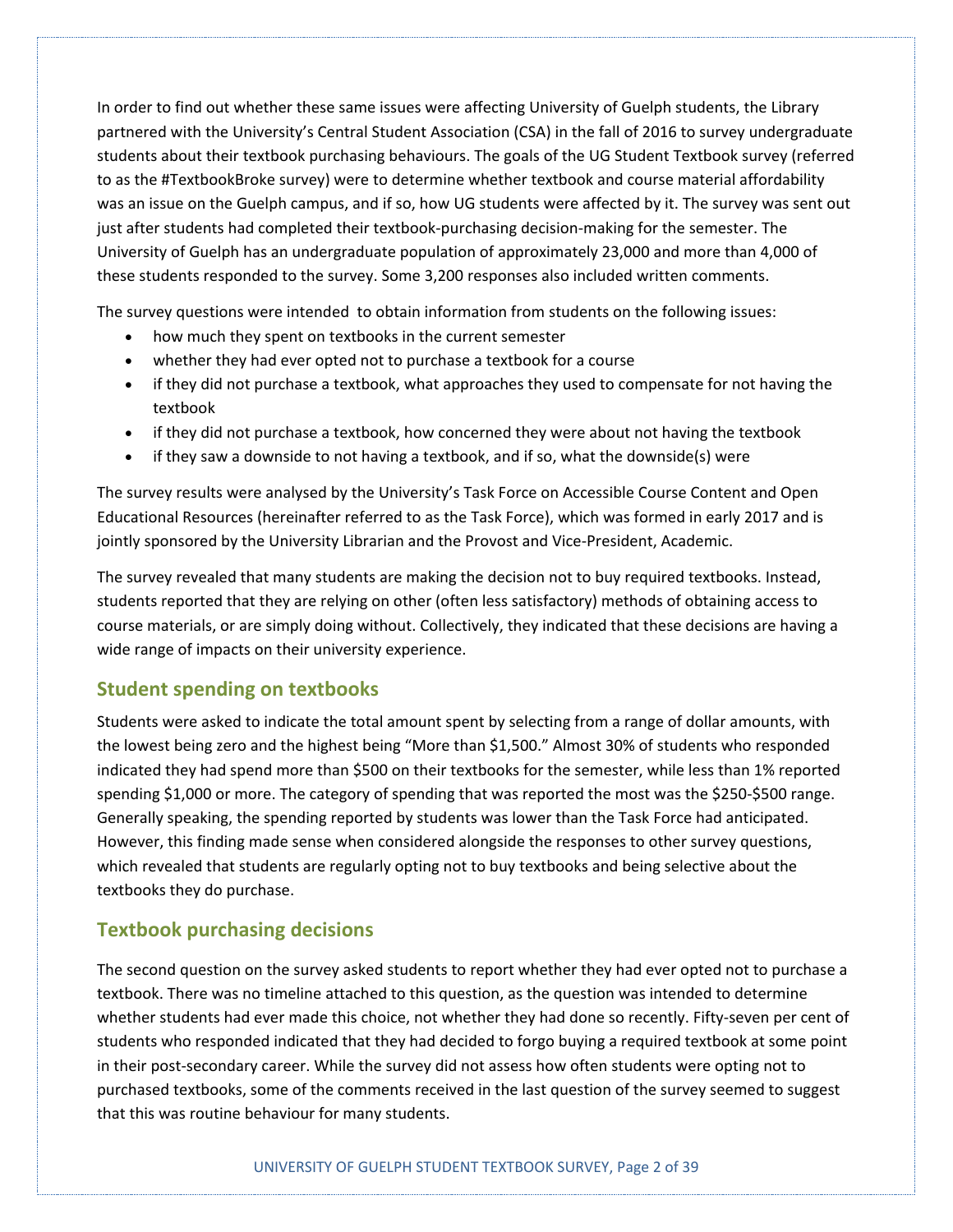In order to find out whether these same issues were affecting University of Guelph students, the Library partnered with the University's Central Student Association (CSA) in the fall of 2016 to survey undergraduate students about their textbook purchasing behaviours. The goals of the UG Student Textbook survey (referred to as the #TextbookBroke survey) were to determine whether textbook and course material affordability was an issue on the Guelph campus, and if so, how UG students were affected by it. The survey was sent out just after students had completed their textbook-purchasing decision-making for the semester. The University of Guelph has an undergraduate population of approximately 23,000 and more than 4,000 of these students responded to the survey. Some 3,200 responses also included written comments.

The survey questions were intended to obtain information from students on the following issues:

- how much they spent on textbooks in the current semester
- whether they had ever opted not to purchase a textbook for a course
- if they did not purchase a textbook, what approaches they used to compensate for not having the textbook
- if they did not purchase a textbook, how concerned they were about not having the textbook
- if they saw a downside to not having a textbook, and if so, what the downside(s) were

The survey results were analysed by the University's Task Force on Accessible Course Content and Open Educational Resources (hereinafter referred to as the Task Force), which was formed in early 2017 and is jointly sponsored by the University Librarian and the Provost and Vice-President, Academic.

The survey revealed that many students are making the decision not to buy required textbooks. Instead, students reported that they are relying on other (often less satisfactory) methods of obtaining access to course materials, or are simply doing without. Collectively, they indicated that these decisions are having a wide range of impacts on their university experience.

#### **Student spending on textbooks**

Students were asked to indicate the total amount spent by selecting from a range of dollar amounts, with the lowest being zero and the highest being "More than \$1,500." Almost 30% of students who responded indicated they had spend more than \$500 on their textbooks for the semester, while less than 1% reported spending \$1,000 or more. The category of spending that was reported the most was the \$250-\$500 range. Generally speaking, the spending reported by students was lower than the Task Force had anticipated. However, this finding made sense when considered alongside the responses to other survey questions, which revealed that students are regularly opting not to buy textbooks and being selective about the textbooks they do purchase.

#### **Textbook purchasing decisions**

The second question on the survey asked students to report whether they had ever opted not to purchase a textbook. There was no timeline attached to this question, as the question was intended to determine whether students had ever made this choice, not whether they had done so recently. Fifty-seven per cent of students who responded indicated that they had decided to forgo buying a required textbook at some point in their post-secondary career. While the survey did not assess how often students were opting not to purchased textbooks, some of the comments received in the last question of the survey seemed to suggest that this was routine behaviour for many students.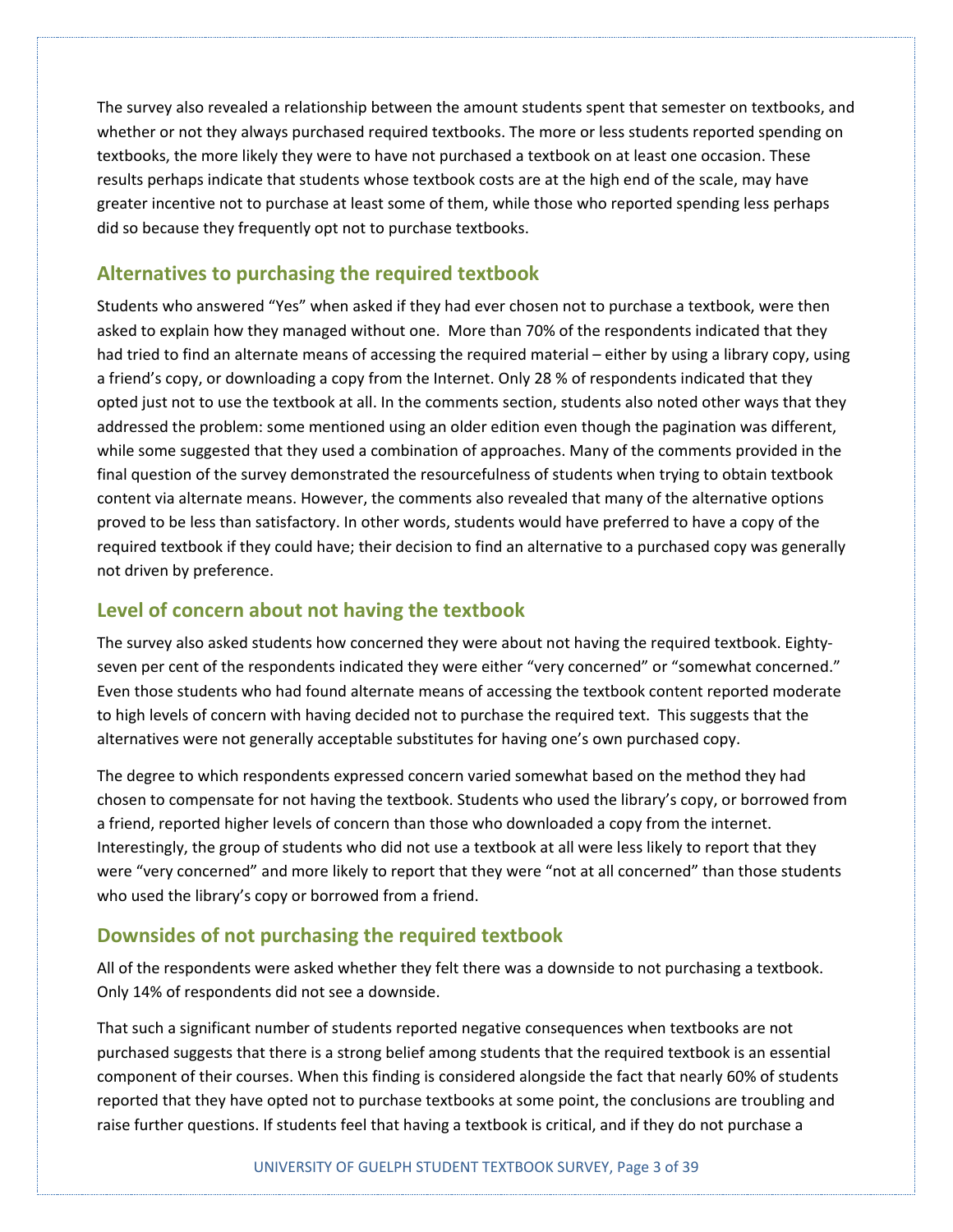The survey also revealed a relationship between the amount students spent that semester on textbooks, and whether or not they always purchased required textbooks. The more or less students reported spending on textbooks, the more likely they were to have not purchased a textbook on at least one occasion. These results perhaps indicate that students whose textbook costs are at the high end of the scale, may have greater incentive not to purchase at least some of them, while those who reported spending less perhaps did so because they frequently opt not to purchase textbooks.

#### **Alternatives to purchasing the required textbook**

Students who answered "Yes" when asked if they had ever chosen not to purchase a textbook, were then asked to explain how they managed without one. More than 70% of the respondents indicated that they had tried to find an alternate means of accessing the required material – either by using a library copy, using a friend's copy, or downloading a copy from the Internet. Only 28 % of respondents indicated that they opted just not to use the textbook at all. In the comments section, students also noted other ways that they addressed the problem: some mentioned using an older edition even though the pagination was different, while some suggested that they used a combination of approaches. Many of the comments provided in the final question of the survey demonstrated the resourcefulness of students when trying to obtain textbook content via alternate means. However, the comments also revealed that many of the alternative options proved to be less than satisfactory. In other words, students would have preferred to have a copy of the required textbook if they could have; their decision to find an alternative to a purchased copy was generally not driven by preference.

#### **Level of concern about not having the textbook**

The survey also asked students how concerned they were about not having the required textbook. Eightyseven per cent of the respondents indicated they were either "very concerned" or "somewhat concerned." Even those students who had found alternate means of accessing the textbook content reported moderate to high levels of concern with having decided not to purchase the required text. This suggests that the alternatives were not generally acceptable substitutes for having one's own purchased copy.

The degree to which respondents expressed concern varied somewhat based on the method they had chosen to compensate for not having the textbook. Students who used the library's copy, or borrowed from a friend, reported higher levels of concern than those who downloaded a copy from the internet. Interestingly, the group of students who did not use a textbook at all were less likely to report that they were "very concerned" and more likely to report that they were "not at all concerned" than those students who used the library's copy or borrowed from a friend.

#### **Downsides of not purchasing the required textbook**

All of the respondents were asked whether they felt there was a downside to not purchasing a textbook. Only 14% of respondents did not see a downside.

That such a significant number of students reported negative consequences when textbooks are not purchased suggests that there is a strong belief among students that the required textbook is an essential component of their courses. When this finding is considered alongside the fact that nearly 60% of students reported that they have opted not to purchase textbooks at some point, the conclusions are troubling and raise further questions. If students feel that having a textbook is critical, and if they do not purchase a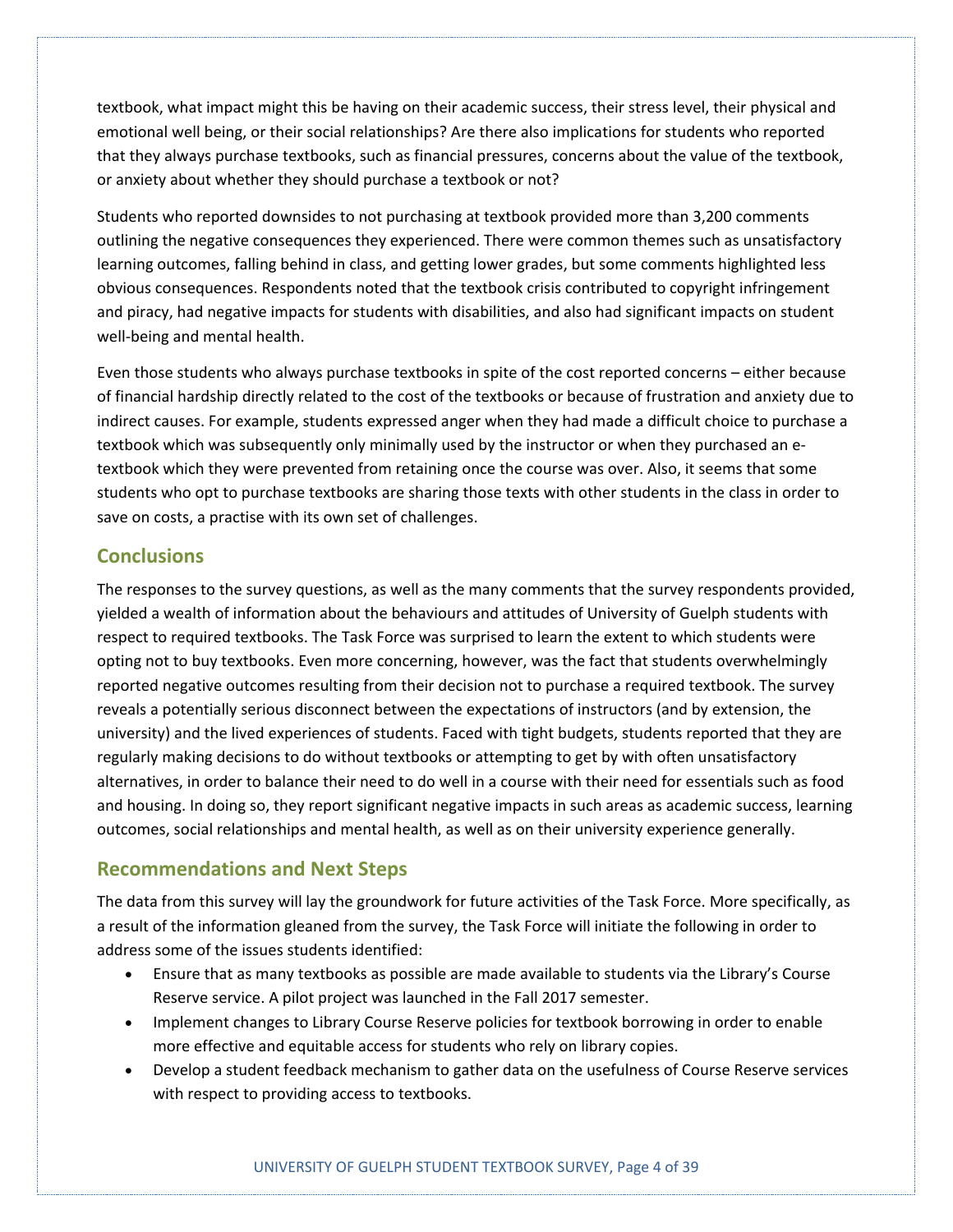textbook, what impact might this be having on their academic success, their stress level, their physical and emotional well being, or their social relationships? Are there also implications for students who reported that they always purchase textbooks, such as financial pressures, concerns about the value of the textbook, or anxiety about whether they should purchase a textbook or not?

Students who reported downsides to not purchasing at textbook provided more than 3,200 comments outlining the negative consequences they experienced. There were common themes such as unsatisfactory learning outcomes, falling behind in class, and getting lower grades, but some comments highlighted less obvious consequences. Respondents noted that the textbook crisis contributed to copyright infringement and piracy, had negative impacts for students with disabilities, and also had significant impacts on student well-being and mental health.

Even those students who always purchase textbooks in spite of the cost reported concerns – either because of financial hardship directly related to the cost of the textbooks or because of frustration and anxiety due to indirect causes. For example, students expressed anger when they had made a difficult choice to purchase a textbook which was subsequently only minimally used by the instructor or when they purchased an etextbook which they were prevented from retaining once the course was over. Also, it seems that some students who opt to purchase textbooks are sharing those texts with other students in the class in order to save on costs, a practise with its own set of challenges.

#### **Conclusions**

The responses to the survey questions, as well as the many comments that the survey respondents provided, yielded a wealth of information about the behaviours and attitudes of University of Guelph students with respect to required textbooks. The Task Force was surprised to learn the extent to which students were opting not to buy textbooks. Even more concerning, however, was the fact that students overwhelmingly reported negative outcomes resulting from their decision not to purchase a required textbook. The survey reveals a potentially serious disconnect between the expectations of instructors (and by extension, the university) and the lived experiences of students. Faced with tight budgets, students reported that they are regularly making decisions to do without textbooks or attempting to get by with often unsatisfactory alternatives, in order to balance their need to do well in a course with their need for essentials such as food and housing. In doing so, they report significant negative impacts in such areas as academic success, learning outcomes, social relationships and mental health, as well as on their university experience generally.

#### **Recommendations and Next Steps**

The data from this survey will lay the groundwork for future activities of the Task Force. More specifically, as a result of the information gleaned from the survey, the Task Force will initiate the following in order to address some of the issues students identified:

- Ensure that as many textbooks as possible are made available to students via the Library's Course Reserve service. A pilot project was launched in the Fall 2017 semester.
- Implement changes to Library Course Reserve policies for textbook borrowing in order to enable more effective and equitable access for students who rely on library copies.
- Develop a student feedback mechanism to gather data on the usefulness of Course Reserve services with respect to providing access to textbooks.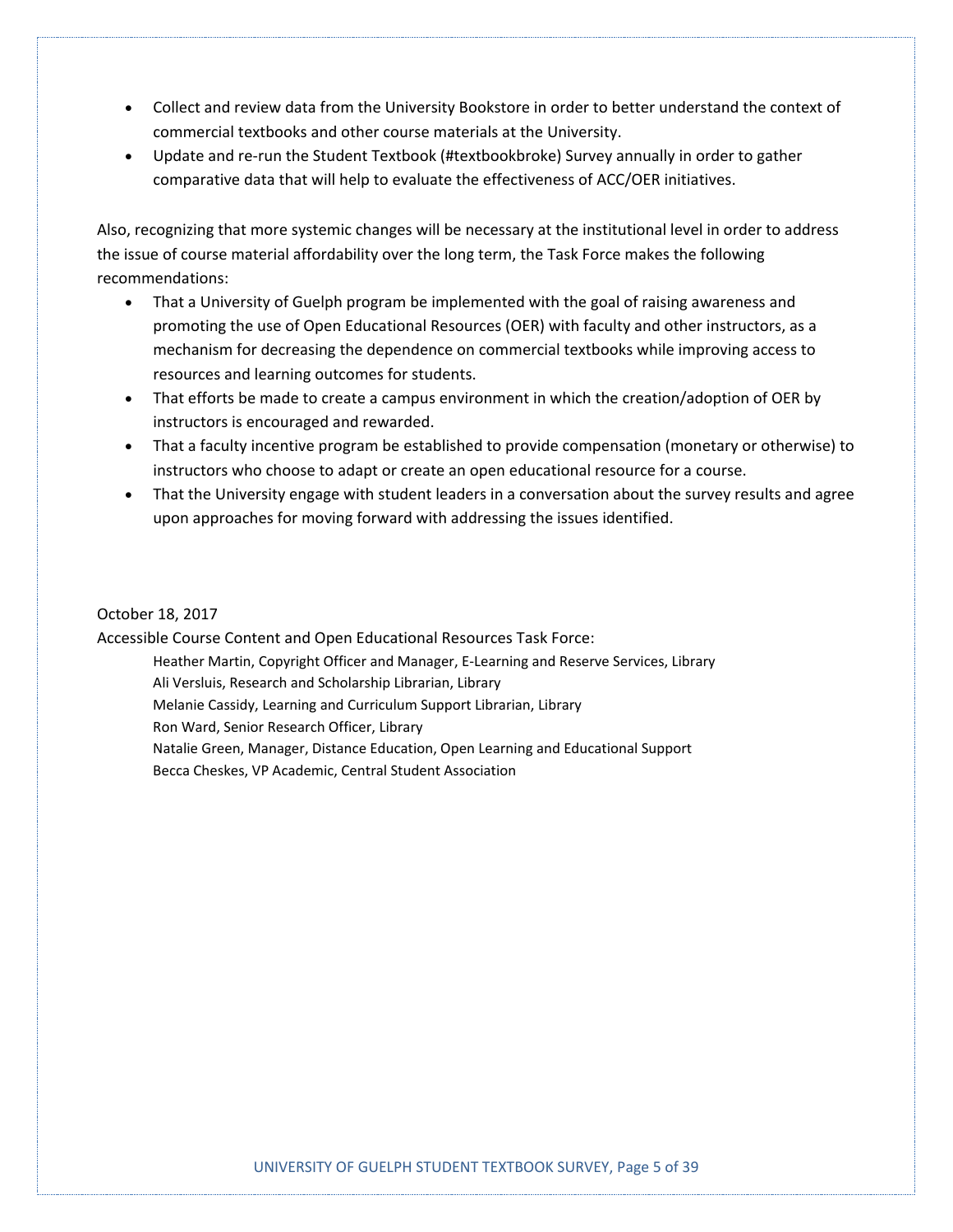- Collect and review data from the University Bookstore in order to better understand the context of commercial textbooks and other course materials at the University.
- Update and re-run the Student Textbook (#textbookbroke) Survey annually in order to gather comparative data that will help to evaluate the effectiveness of ACC/OER initiatives.

Also, recognizing that more systemic changes will be necessary at the institutional level in order to address the issue of course material affordability over the long term, the Task Force makes the following recommendations:

- That a University of Guelph program be implemented with the goal of raising awareness and promoting the use of Open Educational Resources (OER) with faculty and other instructors, as a mechanism for decreasing the dependence on commercial textbooks while improving access to resources and learning outcomes for students.
- That efforts be made to create a campus environment in which the creation/adoption of OER by instructors is encouraged and rewarded.
- That a faculty incentive program be established to provide compensation (monetary or otherwise) to instructors who choose to adapt or create an open educational resource for a course.
- That the University engage with student leaders in a conversation about the survey results and agree upon approaches for moving forward with addressing the issues identified.

#### October 18, 2017

Accessible Course Content and Open Educational Resources Task Force:

Heather Martin, Copyright Officer and Manager, E-Learning and Reserve Services, Library Ali Versluis, Research and Scholarship Librarian, Library Melanie Cassidy, Learning and Curriculum Support Librarian, Library Ron Ward, Senior Research Officer, Library Natalie Green, Manager, Distance Education, Open Learning and Educational Support Becca Cheskes, VP Academic, Central Student Association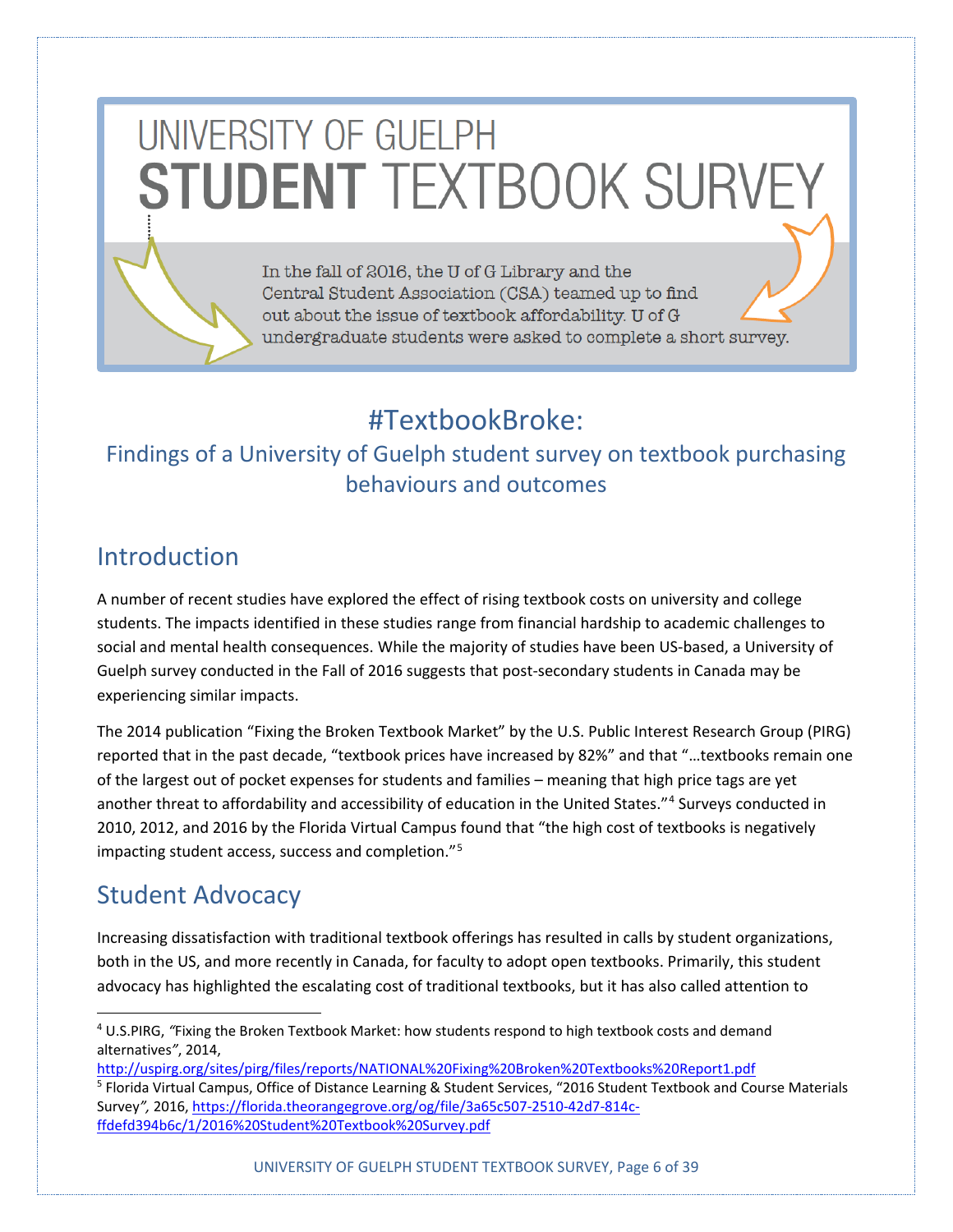# UNIVERSITY OF GUELPH **STUDENT TEXTBOOK SURVEY**

In the fall of 2016, the U of G Library and the Central Student Association (CSA) teamed up to find out about the issue of textbook affordability. U of G undergraduate students were asked to complete a short survey.

# #TextbookBroke:

# Findings of a University of Guelph student survey on textbook purchasing behaviours and outcomes

# **Introduction**

A number of recent studies have explored the effect of rising textbook costs on university and college students. The impacts identified in these studies range from financial hardship to academic challenges to social and mental health consequences. While the majority of studies have been US-based, a University of Guelph survey conducted in the Fall of 2016 suggests that post-secondary students in Canada may be experiencing similar impacts.

The 2014 publication "Fixing the Broken Textbook Market" by the U.S. Public Interest Research Group (PIRG) reported that in the past decade, "textbook prices have increased by 82%" and that "…textbooks remain one of the largest out of pocket expenses for students and families – meaning that high price tags are yet another threat to affordability and accessibility of education in the United States."<sup>[4](#page-5-0)</sup> Surveys conducted in 2010, 2012, and 2016 by the Florida Virtual Campus found that "the high cost of textbooks is negatively impacting student access, success and completion."<sup>[5](#page-5-1)</sup>

# Student Advocacy

Increasing dissatisfaction with traditional textbook offerings has resulted in calls by student organizations, both in the US, and more recently in Canada, for faculty to adopt open textbooks. Primarily, this student advocacy has highlighted the escalating cost of traditional textbooks, but it has also called attention to

- <http://uspirg.org/sites/pirg/files/reports/NATIONAL%20Fixing%20Broken%20Textbooks%20Report1.pdf>
- <span id="page-5-1"></span><sup>5</sup> Florida Virtual Campus, Office of Distance Learning & Student Services, "2016 Student Textbook and Course Materials Survey*",* 2016[, https://florida.theorangegrove.org/og/file/3a65c507-2510-42d7-814c](https://florida.theorangegrove.org/og/file/3a65c507-2510-42d7-814c-ffdefd394b6c/1/2016%20Student%20Textbook%20Survey.pdf)[ffdefd394b6c/1/2016%20Student%20Textbook%20Survey.pdf](https://florida.theorangegrove.org/og/file/3a65c507-2510-42d7-814c-ffdefd394b6c/1/2016%20Student%20Textbook%20Survey.pdf)

<span id="page-5-0"></span> <sup>4</sup> U.S.PIRG, *"*Fixing the Broken Textbook Market: how students respond to high textbook costs and demand alternatives*"*, 2014,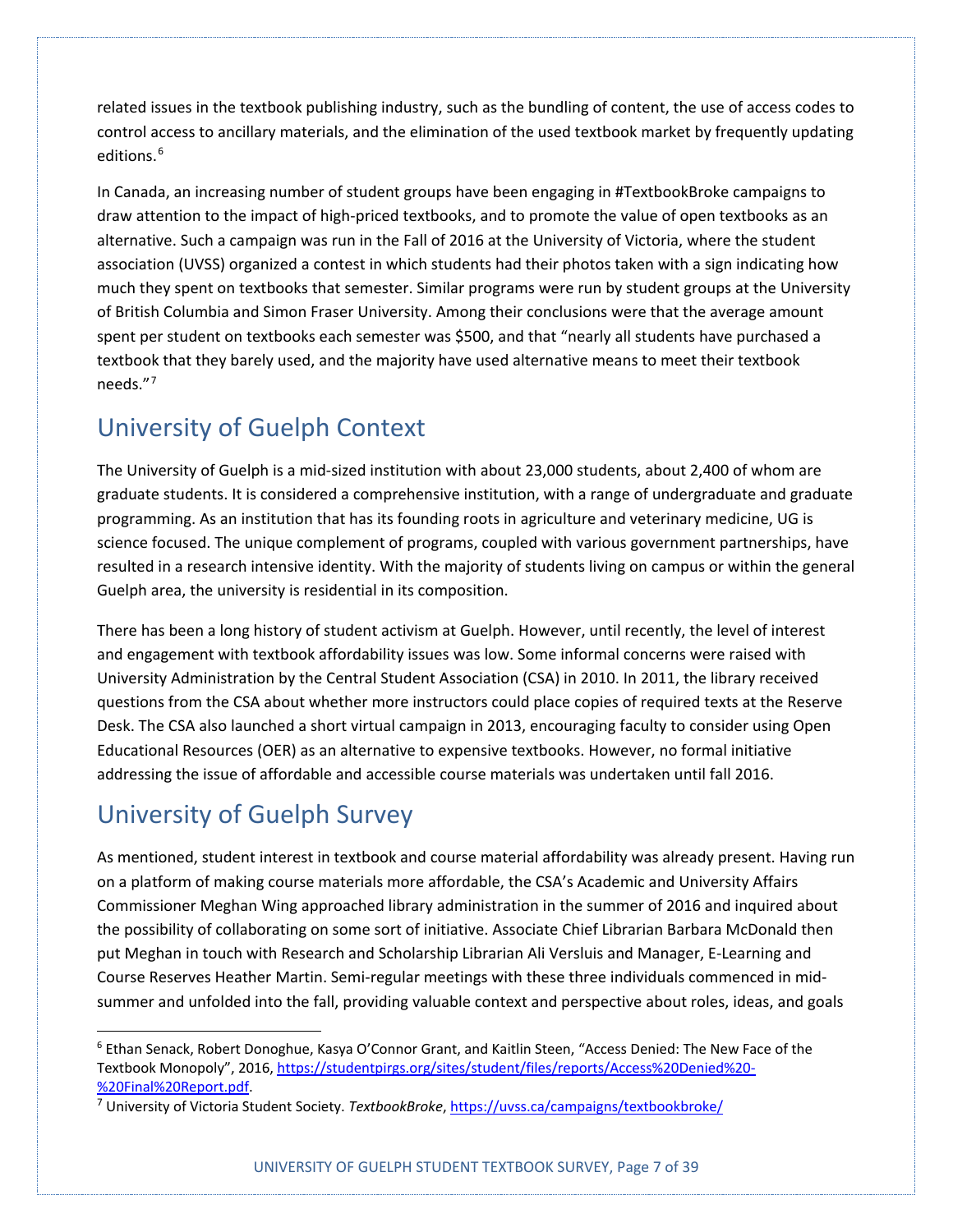related issues in the textbook publishing industry, such as the bundling of content, the use of access codes to control access to ancillary materials, and the elimination of the used textbook market by frequently updating editions.<sup>[6](#page-6-0)</sup>

In Canada, an increasing number of student groups have been engaging in #TextbookBroke campaigns to draw attention to the impact of high-priced textbooks, and to promote the value of open textbooks as an alternative. Such a campaign was run in the Fall of 2016 at the University of Victoria, where the student association (UVSS) organized a contest in which students had their photos taken with a sign indicating how much they spent on textbooks that semester. Similar programs were run by student groups at the University of British Columbia and Simon Fraser University. Among their conclusions were that the average amount spent per student on textbooks each semester was \$500, and that "nearly all students have purchased a textbook that they barely used, and the majority have used alternative means to meet their textbook needs."[7](#page-6-1)

# University of Guelph Context

The University of Guelph is a mid-sized institution with about 23,000 students, about 2,400 of whom are graduate students. It is considered a comprehensive institution, with a range of undergraduate and graduate programming. As an institution that has its founding roots in agriculture and veterinary medicine, UG is science focused. The unique complement of programs, coupled with various government partnerships, have resulted in a research intensive identity. With the majority of students living on campus or within the general Guelph area, the university is residential in its composition.

There has been a long history of student activism at Guelph. However, until recently, the level of interest and engagement with textbook affordability issues was low. Some informal concerns were raised with University Administration by the Central Student Association (CSA) in 2010. In 2011, the library received questions from the CSA about whether more instructors could place copies of required texts at the Reserve Desk. The CSA also launched a short virtual campaign in 2013, encouraging faculty to consider using Open Educational Resources (OER) as an alternative to expensive textbooks. However, no formal initiative addressing the issue of affordable and accessible course materials was undertaken until fall 2016.

# University of Guelph Survey

As mentioned, student interest in textbook and course material affordability was already present. Having run on a platform of making course materials more affordable, the CSA's Academic and University Affairs Commissioner Meghan Wing approached library administration in the summer of 2016 and inquired about the possibility of collaborating on some sort of initiative. Associate Chief Librarian Barbara McDonald then put Meghan in touch with Research and Scholarship Librarian Ali Versluis and Manager, E-Learning and Course Reserves Heather Martin. Semi-regular meetings with these three individuals commenced in midsummer and unfolded into the fall, providing valuable context and perspective about roles, ideas, and goals

<span id="page-6-0"></span> <sup>6</sup> Ethan Senack, Robert Donoghue, Kasya O'Connor Grant, and Kaitlin Steen, "Access Denied: The New Face of the Textbook Monopoly", 2016, [https://studentpirgs.org/sites/student/files/reports/Access%20Denied%20-](https://studentpirgs.org/sites/student/files/reports/Access%20Denied%20-%20Final%20Report.pdf) [%20Final%20Report.pdf.](https://studentpirgs.org/sites/student/files/reports/Access%20Denied%20-%20Final%20Report.pdf)

<span id="page-6-1"></span><sup>7</sup> University of Victoria Student Society. *TextbookBroke*[, https://uvss.ca/campaigns/textbookbroke/](https://uvss.ca/campaigns/textbookbroke/)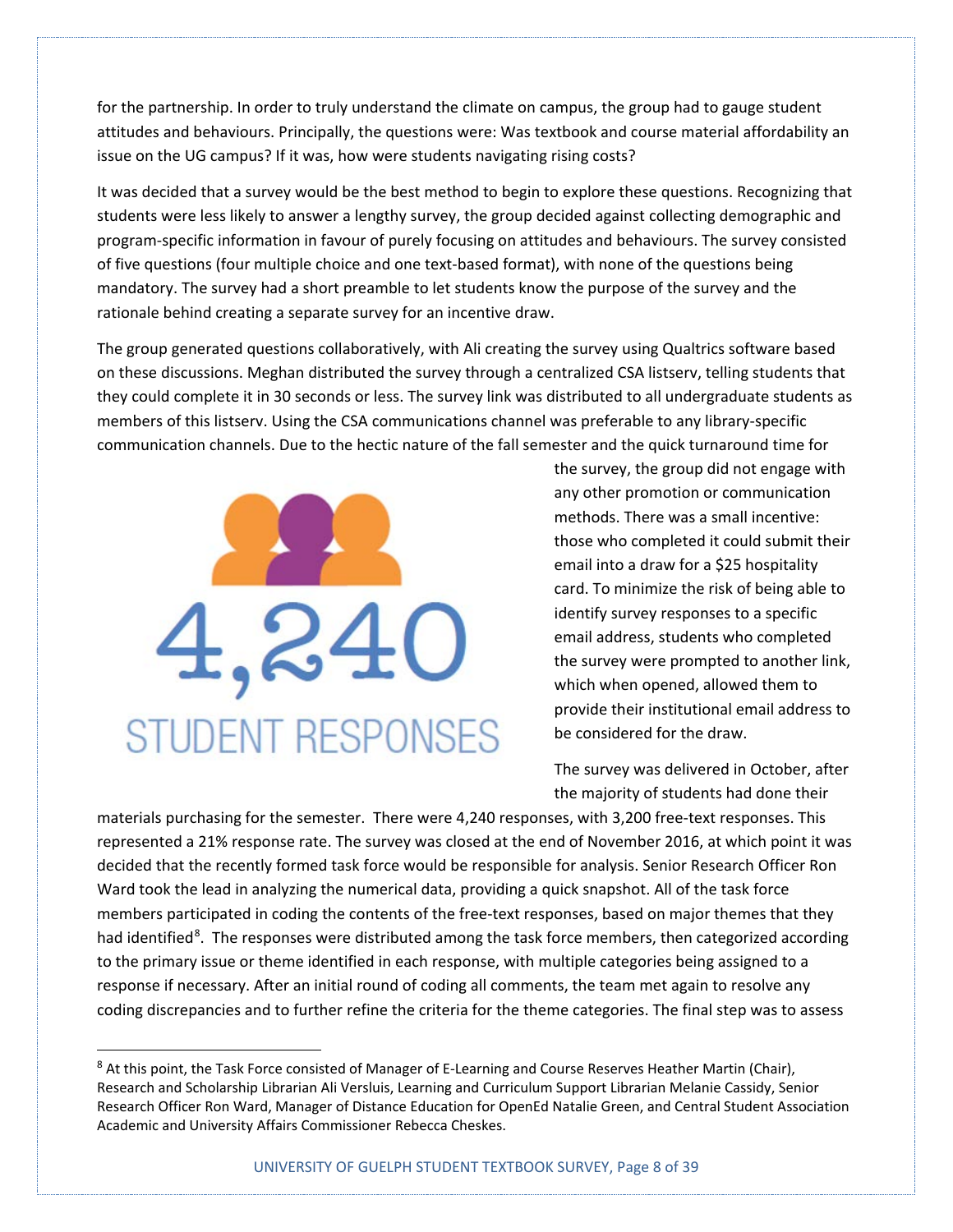for the partnership. In order to truly understand the climate on campus, the group had to gauge student attitudes and behaviours. Principally, the questions were: Was textbook and course material affordability an issue on the UG campus? If it was, how were students navigating rising costs?

It was decided that a survey would be the best method to begin to explore these questions. Recognizing that students were less likely to answer a lengthy survey, the group decided against collecting demographic and program-specific information in favour of purely focusing on attitudes and behaviours. The survey consisted of five questions (four multiple choice and one text-based format), with none of the questions being mandatory. The survey had a short preamble to let students know the purpose of the survey and the rationale behind creating a separate survey for an incentive draw.

The group generated questions collaboratively, with Ali creating the survey using Qualtrics software based on these discussions. Meghan distributed the survey through a centralized CSA listserv, telling students that they could complete it in 30 seconds or less. The survey link was distributed to all undergraduate students as members of this listserv. Using the CSA communications channel was preferable to any library-specific communication channels. Due to the hectic nature of the fall semester and the quick turnaround time for



the survey, the group did not engage with any other promotion or communication methods. There was a small incentive: those who completed it could submit their email into a draw for a \$25 hospitality card. To minimize the risk of being able to identify survey responses to a specific email address, students who completed the survey were prompted to another link, which when opened, allowed them to provide their institutional email address to be considered for the draw.

The survey was delivered in October, after the majority of students had done their

materials purchasing for the semester. There were 4,240 responses, with 3,200 free-text responses. This represented a 21% response rate. The survey was closed at the end of November 2016, at which point it was decided that the recently formed task force would be responsible for analysis. Senior Research Officer Ron Ward took the lead in analyzing the numerical data, providing a quick snapshot. All of the task force members participated in coding the contents of the free-text responses, based on major themes that they had identified<sup>[8](#page-7-0)</sup>. The responses were distributed among the task force members, then categorized according to the primary issue or theme identified in each response, with multiple categories being assigned to a response if necessary. After an initial round of coding all comments, the team met again to resolve any coding discrepancies and to further refine the criteria for the theme categories. The final step was to assess

<span id="page-7-0"></span><sup>&</sup>lt;sup>8</sup> At this point, the Task Force consisted of Manager of E-Learning and Course Reserves Heather Martin (Chair), Research and Scholarship Librarian Ali Versluis, Learning and Curriculum Support Librarian Melanie Cassidy, Senior Research Officer Ron Ward, Manager of Distance Education for OpenEd Natalie Green, and Central Student Association Academic and University Affairs Commissioner Rebecca Cheskes.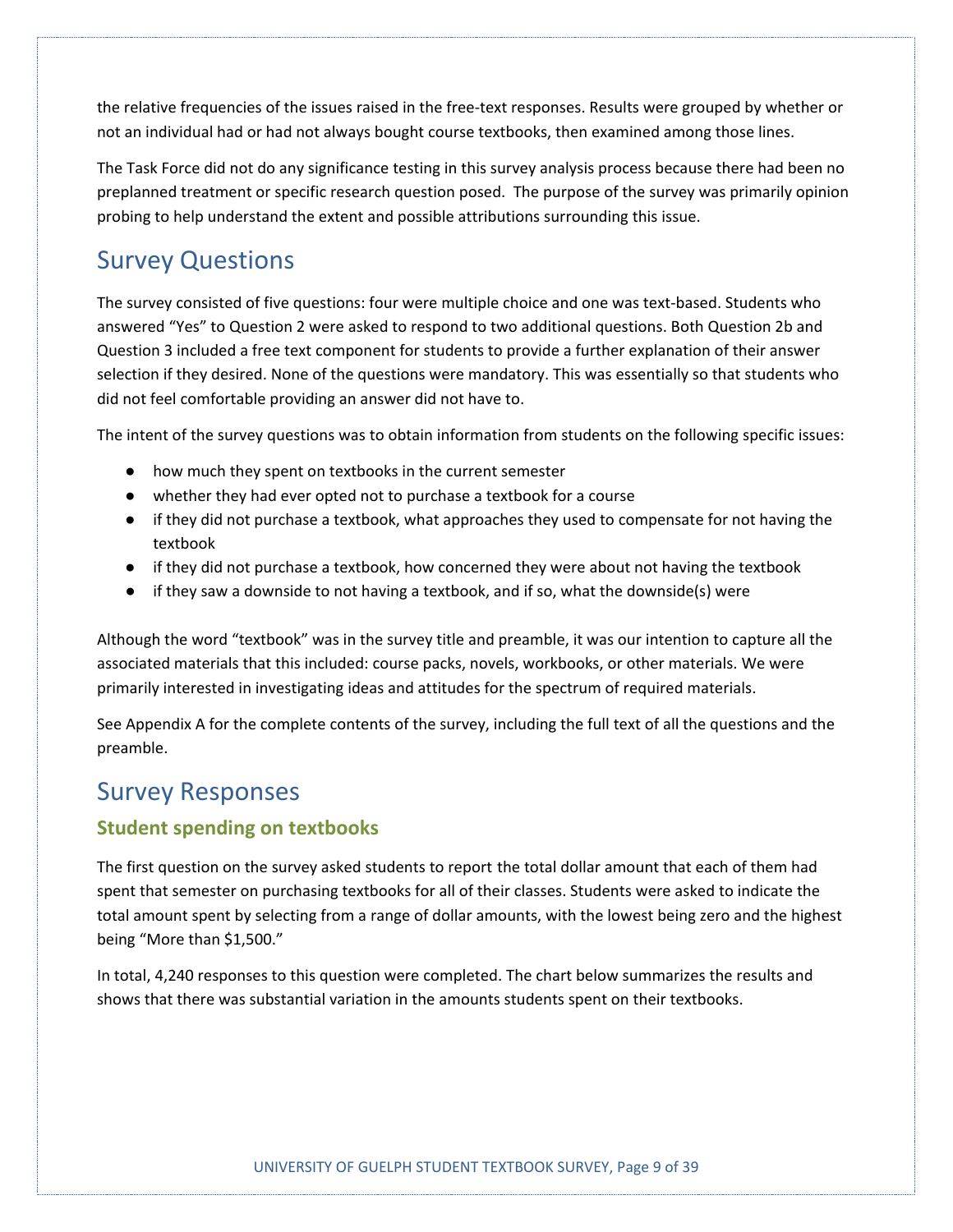the relative frequencies of the issues raised in the free-text responses. Results were grouped by whether or not an individual had or had not always bought course textbooks, then examined among those lines.

The Task Force did not do any significance testing in this survey analysis process because there had been no preplanned treatment or specific research question posed. The purpose of the survey was primarily opinion probing to help understand the extent and possible attributions surrounding this issue.

# Survey Questions

The survey consisted of five questions: four were multiple choice and one was text-based. Students who answered "Yes" to Question 2 were asked to respond to two additional questions. Both Question 2b and Question 3 included a free text component for students to provide a further explanation of their answer selection if they desired. None of the questions were mandatory. This was essentially so that students who did not feel comfortable providing an answer did not have to.

The intent of the survey questions was to obtain information from students on the following specific issues:

- how much they spent on textbooks in the current semester
- whether they had ever opted not to purchase a textbook for a course
- if they did not purchase a textbook, what approaches they used to compensate for not having the textbook
- if they did not purchase a textbook, how concerned they were about not having the textbook
- if they saw a downside to not having a textbook, and if so, what the downside(s) were

Although the word "textbook" was in the survey title and preamble, it was our intention to capture all the associated materials that this included: course packs, novels, workbooks, or other materials. We were primarily interested in investigating ideas and attitudes for the spectrum of required materials.

See Appendix A for the complete contents of the survey, including the full text of all the questions and the preamble.

### Survey Responses

#### **Student spending on textbooks**

The first question on the survey asked students to report the total dollar amount that each of them had spent that semester on purchasing textbooks for all of their classes. Students were asked to indicate the total amount spent by selecting from a range of dollar amounts, with the lowest being zero and the highest being "More than \$1,500."

In total, 4,240 responses to this question were completed. The chart below summarizes the results and shows that there was substantial variation in the amounts students spent on their textbooks.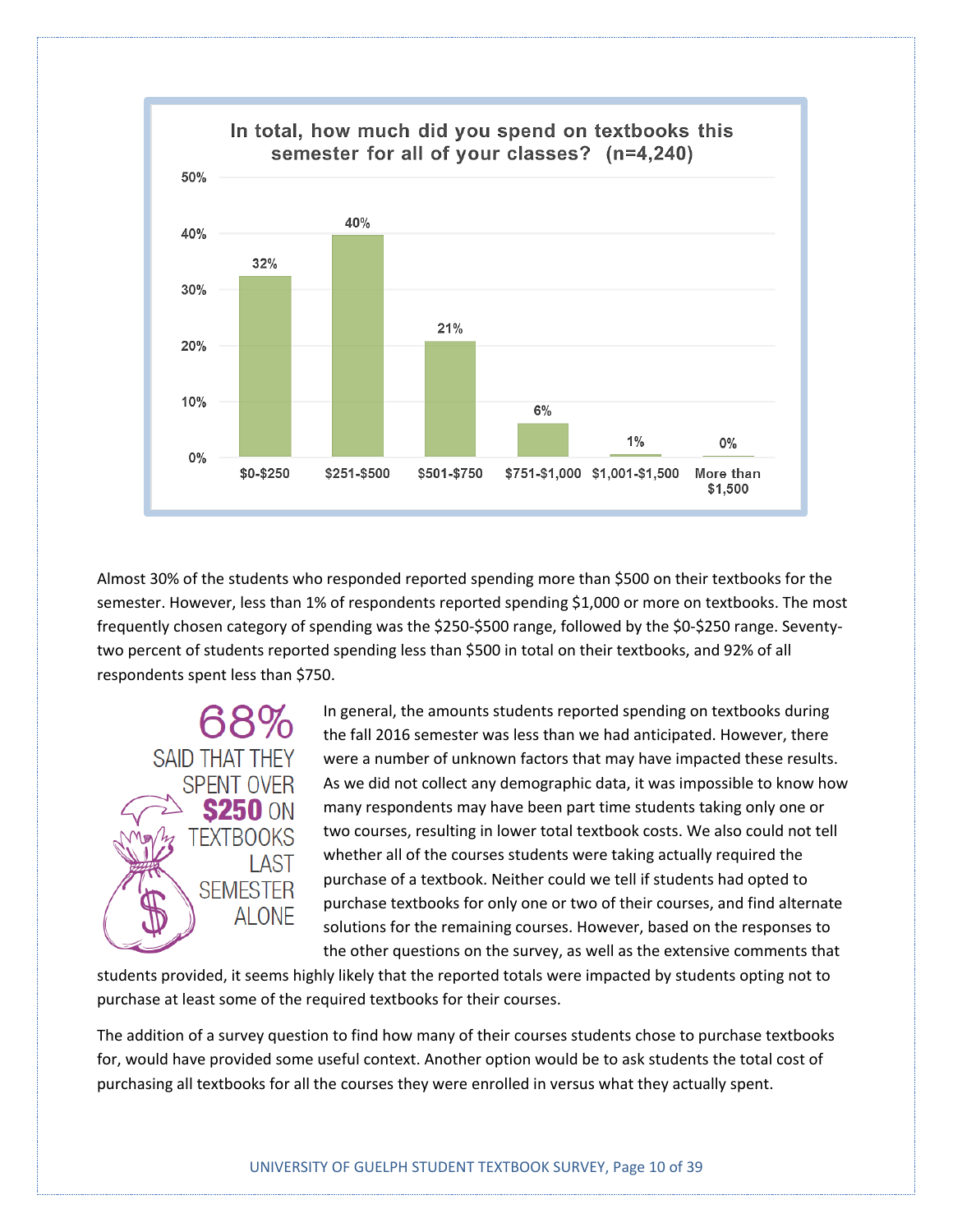

Almost 30% of the students who responded reported spending more than \$500 on their textbooks for the semester. However, less than 1% of respondents reported spending \$1,000 or more on textbooks. The most frequently chosen category of spending was the \$250-\$500 range, followed by the \$0-\$250 range. Seventytwo percent of students reported spending less than \$500 in total on their textbooks, and 92% of all respondents spent less than \$750.



In general, the amounts students reported spending on textbooks during the fall 2016 semester was less than we had anticipated. However, there were a number of unknown factors that may have impacted these results. As we did not collect any demographic data, it was impossible to know how many respondents may have been part time students taking only one or two courses, resulting in lower total textbook costs. We also could not tell whether all of the courses students were taking actually required the purchase of a textbook. Neither could we tell if students had opted to purchase textbooks for only one or two of their courses, and find alternate solutions for the remaining courses. However, based on the responses to the other questions on the survey, as well as the extensive comments that

students provided, it seems highly likely that the reported totals were impacted by students opting not to purchase at least some of the required textbooks for their courses.

The addition of a survey question to find how many of their courses students chose to purchase textbooks for, would have provided some useful context. Another option would be to ask students the total cost of purchasing all textbooks for all the courses they were enrolled in versus what they actually spent.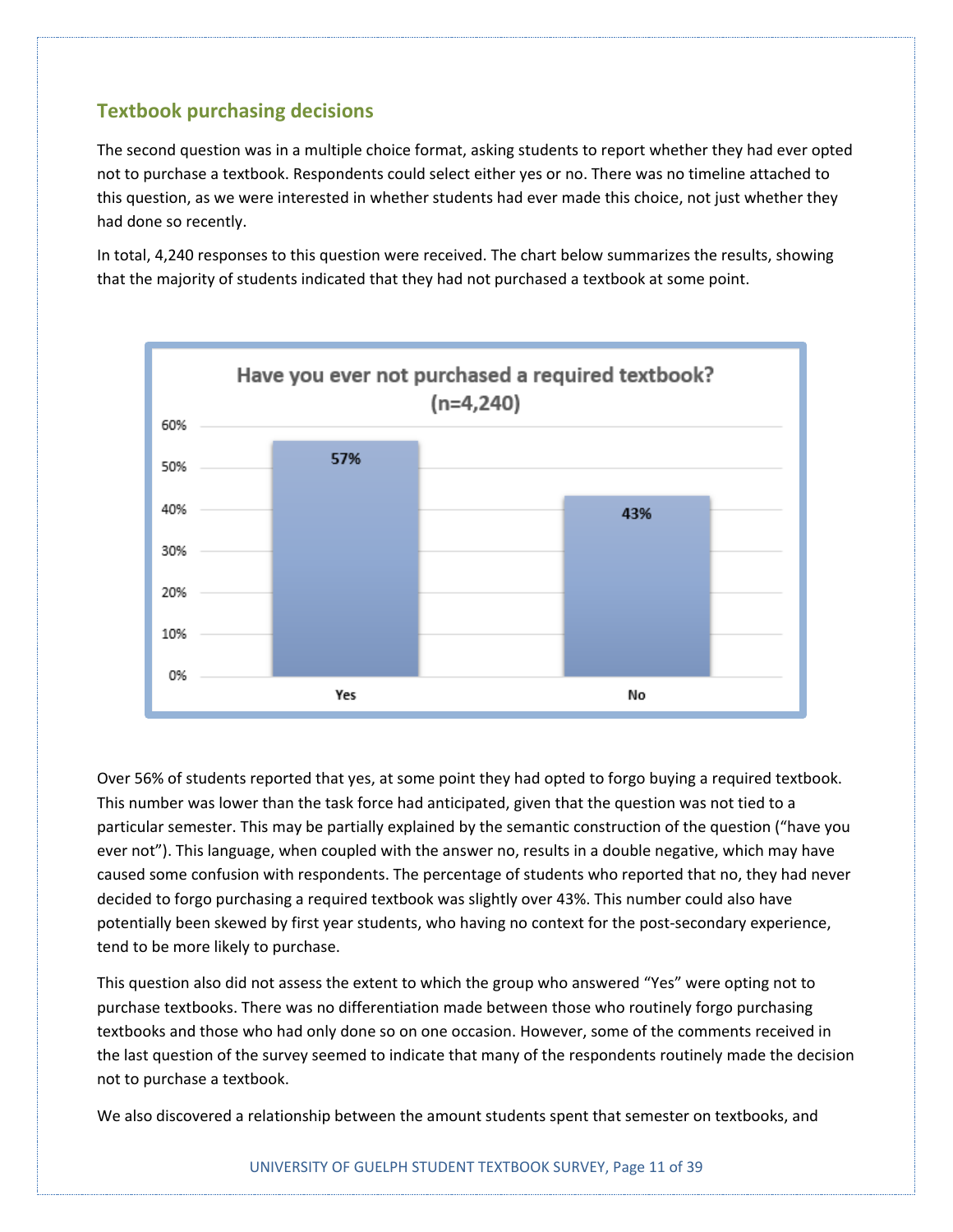#### **Textbook purchasing decisions**

The second question was in a multiple choice format, asking students to report whether they had ever opted not to purchase a textbook. Respondents could select either yes or no. There was no timeline attached to this question, as we were interested in whether students had ever made this choice, not just whether they had done so recently.

In total, 4,240 responses to this question were received. The chart below summarizes the results, showing that the majority of students indicated that they had not purchased a textbook at some point.



Over 56% of students reported that yes, at some point they had opted to forgo buying a required textbook. This number was lower than the task force had anticipated, given that the question was not tied to a particular semester. This may be partially explained by the semantic construction of the question ("have you ever not"). This language, when coupled with the answer no, results in a double negative, which may have caused some confusion with respondents. The percentage of students who reported that no, they had never decided to forgo purchasing a required textbook was slightly over 43%. This number could also have potentially been skewed by first year students, who having no context for the post-secondary experience, tend to be more likely to purchase.

This question also did not assess the extent to which the group who answered "Yes" were opting not to purchase textbooks. There was no differentiation made between those who routinely forgo purchasing textbooks and those who had only done so on one occasion. However, some of the comments received in the last question of the survey seemed to indicate that many of the respondents routinely made the decision not to purchase a textbook.

We also discovered a relationship between the amount students spent that semester on textbooks, and

#### UNIVERSITY OF GUELPH STUDENT TEXTBOOK SURVEY, Page 11 of 39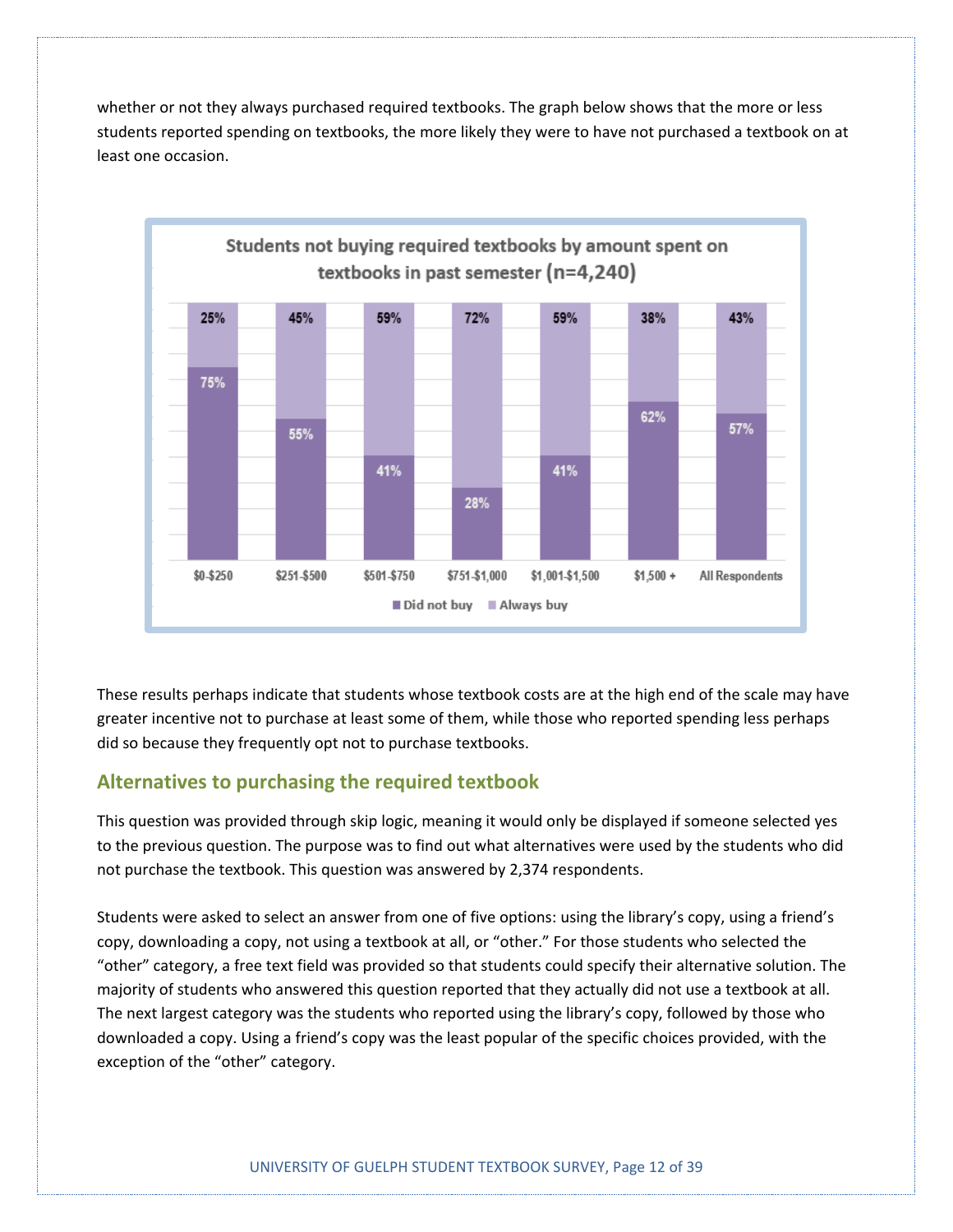whether or not they always purchased required textbooks. The graph below shows that the more or less students reported spending on textbooks, the more likely they were to have not purchased a textbook on at least one occasion.



These results perhaps indicate that students whose textbook costs are at the high end of the scale may have greater incentive not to purchase at least some of them, while those who reported spending less perhaps did so because they frequently opt not to purchase textbooks.

#### **Alternatives to purchasing the required textbook**

This question was provided through skip logic, meaning it would only be displayed if someone selected yes to the previous question. The purpose was to find out what alternatives were used by the students who did not purchase the textbook. This question was answered by 2,374 respondents.

Students were asked to select an answer from one of five options: using the library's copy, using a friend's copy, downloading a copy, not using a textbook at all, or "other." For those students who selected the "other" category, a free text field was provided so that students could specify their alternative solution. The majority of students who answered this question reported that they actually did not use a textbook at all. The next largest category was the students who reported using the library's copy, followed by those who downloaded a copy. Using a friend's copy was the least popular of the specific choices provided, with the exception of the "other" category.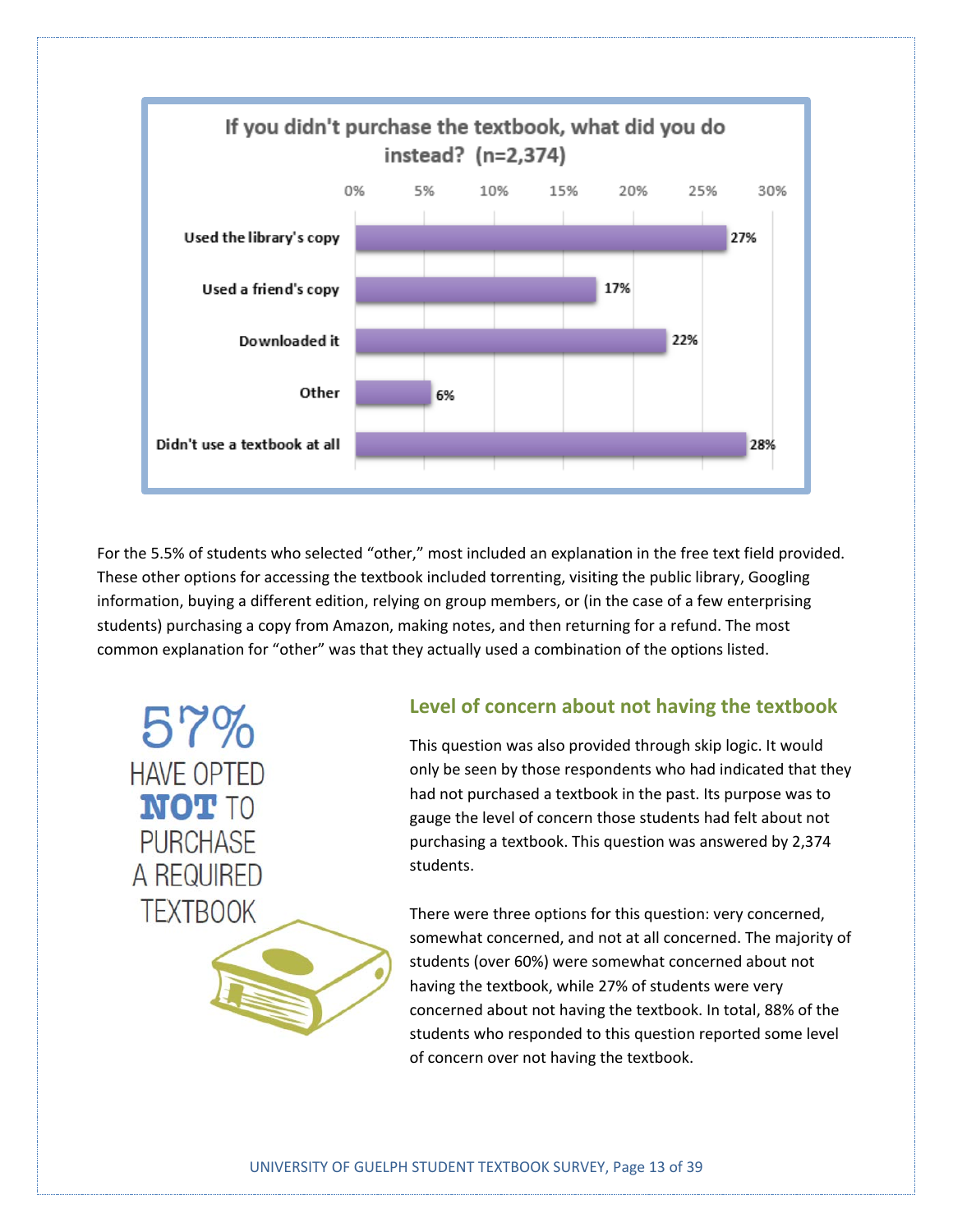

For the 5.5% of students who selected "other," most included an explanation in the free text field provided. These other options for accessing the textbook included torrenting, visiting the public library, Googling information, buying a different edition, relying on group members, or (in the case of a few enterprising students) purchasing a copy from Amazon, making notes, and then returning for a refund. The most common explanation for "other" was that they actually used a combination of the options listed.

57%

**HAVE OPTED** 

**NOT TO** 

**PURCHASE** 

A REQUIRED

**TEXTBOOK** 

**Level of concern about not having the textbook**

This question was also provided through skip logic. It would only be seen by those respondents who had indicated that they had not purchased a textbook in the past. Its purpose was to gauge the level of concern those students had felt about not purchasing a textbook. This question was answered by 2,374 students.

There were three options for this question: very concerned, somewhat concerned, and not at all concerned. The majority of students (over 60%) were somewhat concerned about not having the textbook, while 27% of students were very concerned about not having the textbook. In total, 88% of the students who responded to this question reported some level of concern over not having the textbook.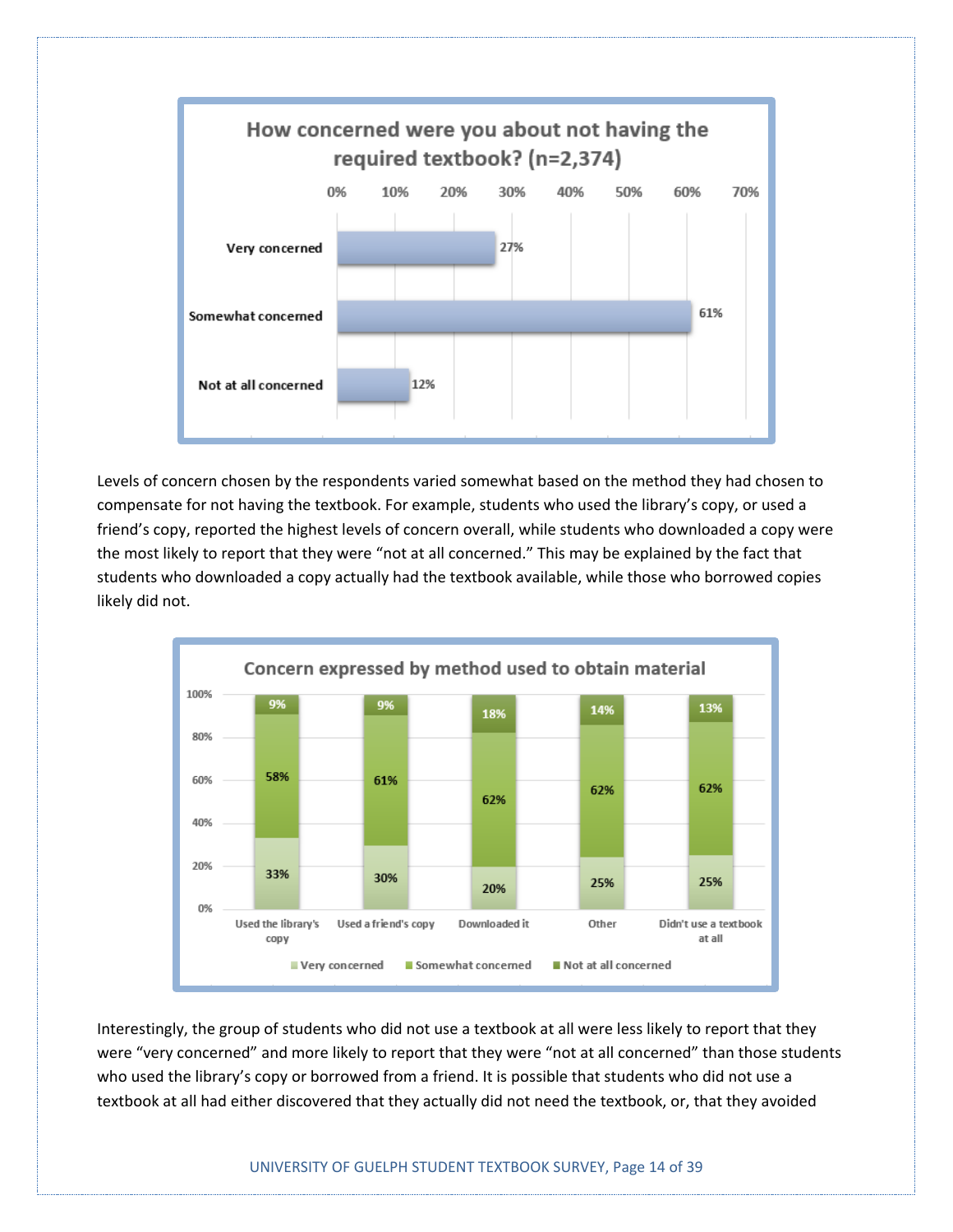

Levels of concern chosen by the respondents varied somewhat based on the method they had chosen to compensate for not having the textbook. For example, students who used the library's copy, or used a friend's copy, reported the highest levels of concern overall, while students who downloaded a copy were the most likely to report that they were "not at all concerned." This may be explained by the fact that students who downloaded a copy actually had the textbook available, while those who borrowed copies likely did not.



Interestingly, the group of students who did not use a textbook at all were less likely to report that they were "very concerned" and more likely to report that they were "not at all concerned" than those students who used the library's copy or borrowed from a friend. It is possible that students who did not use a textbook at all had either discovered that they actually did not need the textbook, or, that they avoided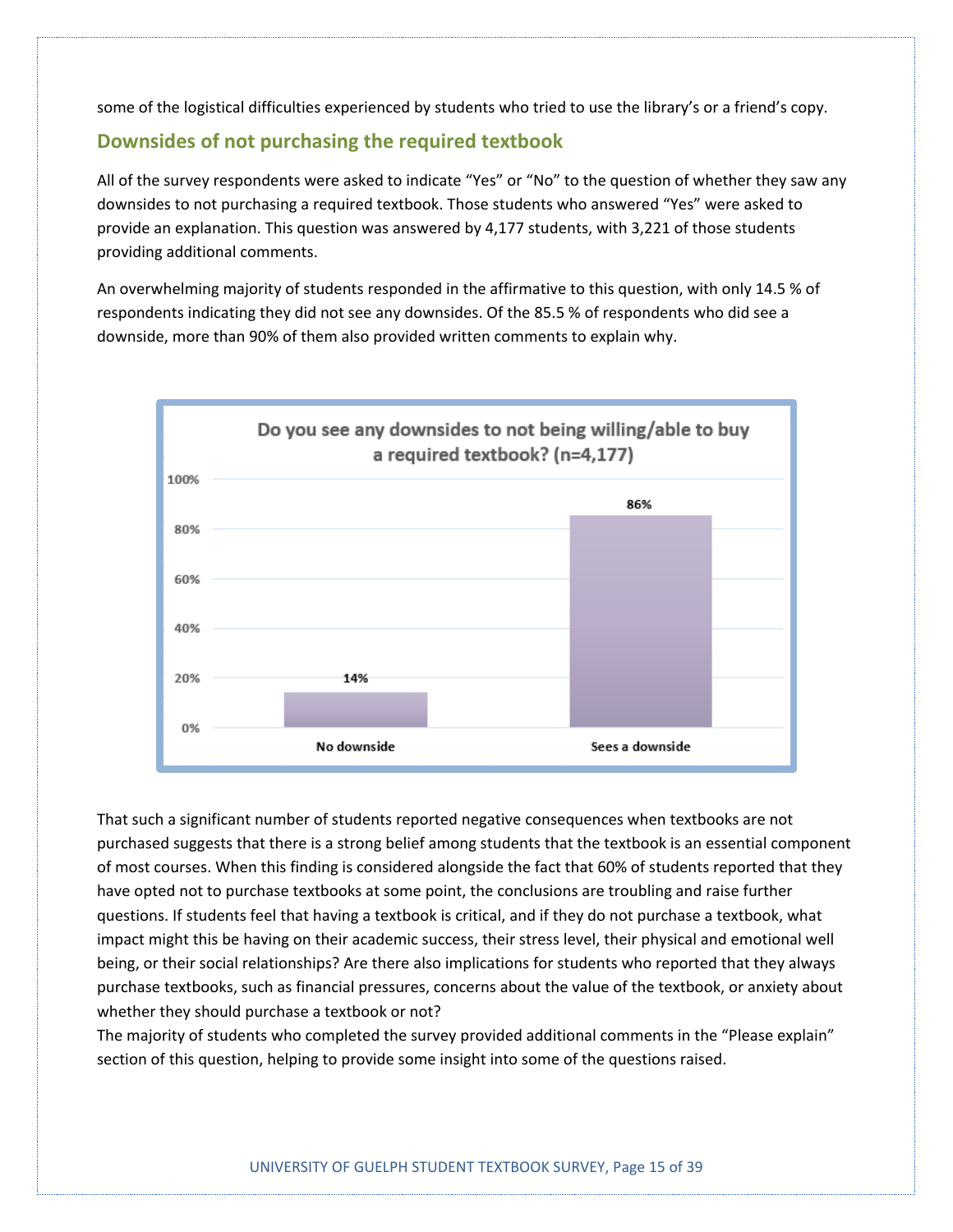some of the logistical difficulties experienced by students who tried to use the library's or a friend's copy.

#### **Downsides of not purchasing the required textbook**

All of the survey respondents were asked to indicate "Yes" or "No" to the question of whether they saw any downsides to not purchasing a required textbook. Those students who answered "Yes" were asked to provide an explanation. This question was answered by 4,177 students, with 3,221 of those students providing additional comments.

An overwhelming majority of students responded in the affirmative to this question, with only 14.5 % of respondents indicating they did not see any downsides. Of the 85.5 % of respondents who did see a downside, more than 90% of them also provided written comments to explain why.



That such a significant number of students reported negative consequences when textbooks are not purchased suggests that there is a strong belief among students that the textbook is an essential component of most courses. When this finding is considered alongside the fact that 60% of students reported that they have opted not to purchase textbooks at some point, the conclusions are troubling and raise further questions. If students feel that having a textbook is critical, and if they do not purchase a textbook, what impact might this be having on their academic success, their stress level, their physical and emotional well being, or their social relationships? Are there also implications for students who reported that they always purchase textbooks, such as financial pressures, concerns about the value of the textbook, or anxiety about whether they should purchase a textbook or not?

The majority of students who completed the survey provided additional comments in the "Please explain" section of this question, helping to provide some insight into some of the questions raised.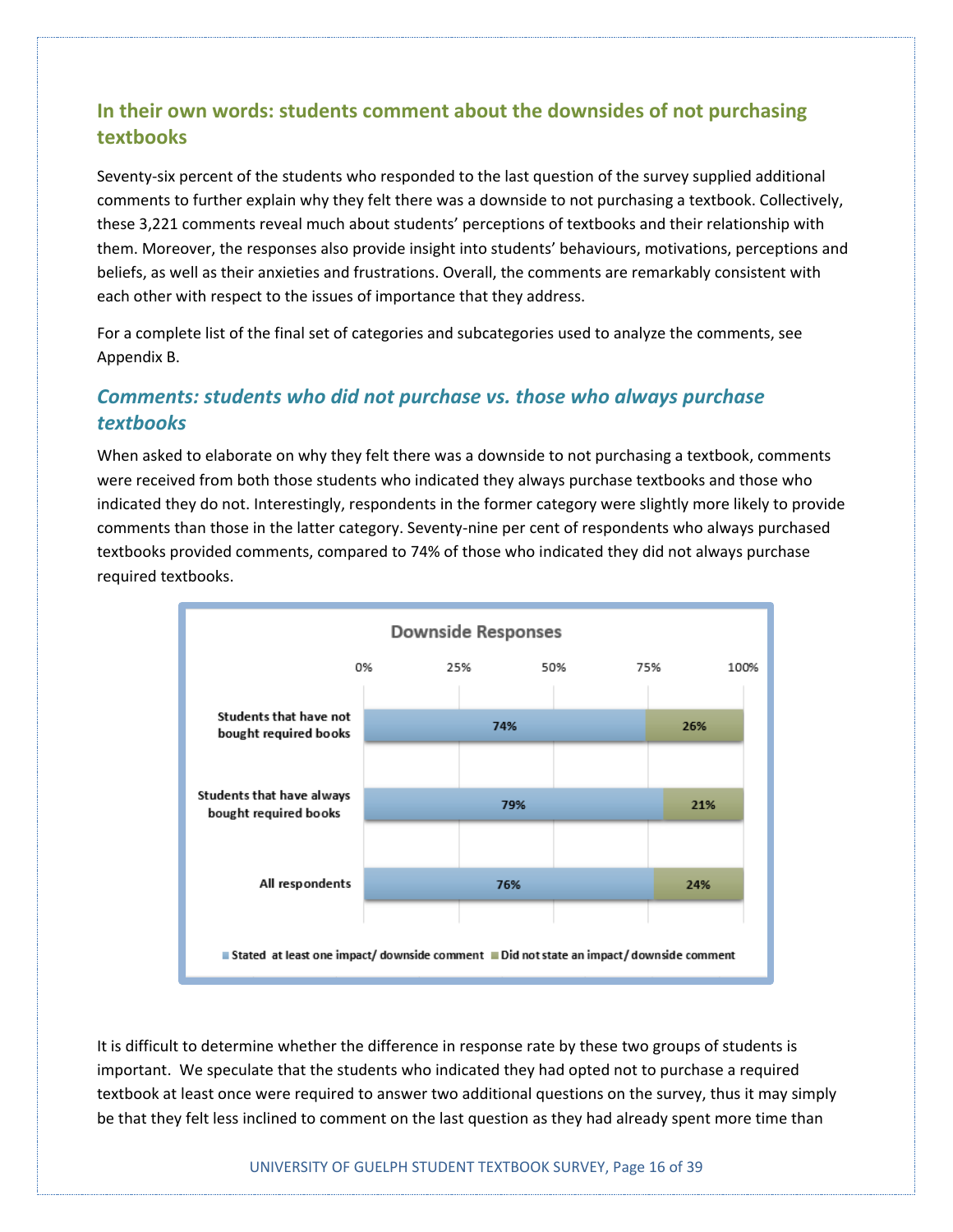#### **In their own words: students comment about the downsides of not purchasing textbooks**

Seventy-six percent of the students who responded to the last question of the survey supplied additional comments to further explain why they felt there was a downside to not purchasing a textbook. Collectively, these 3,221 comments reveal much about students' perceptions of textbooks and their relationship with them. Moreover, the responses also provide insight into students' behaviours, motivations, perceptions and beliefs, as well as their anxieties and frustrations. Overall, the comments are remarkably consistent with each other with respect to the issues of importance that they address.

For a complete list of the final set of categories and subcategories used to analyze the comments, see Appendix B.

#### *Comments: students who did not purchase vs. those who always purchase textbooks*

When asked to elaborate on why they felt there was a downside to not purchasing a textbook, comments were received from both those students who indicated they always purchase textbooks and those who indicated they do not. Interestingly, respondents in the former category were slightly more likely to provide comments than those in the latter category. Seventy-nine per cent of respondents who always purchased textbooks provided comments, compared to 74% of those who indicated they did not always purchase required textbooks.



It is difficult to determine whether the difference in response rate by these two groups of students is important. We speculate that the students who indicated they had opted not to purchase a required textbook at least once were required to answer two additional questions on the survey, thus it may simply be that they felt less inclined to comment on the last question as they had already spent more time than

UNIVERSITY OF GUELPH STUDENT TEXTBOOK SURVEY, Page 16 of 39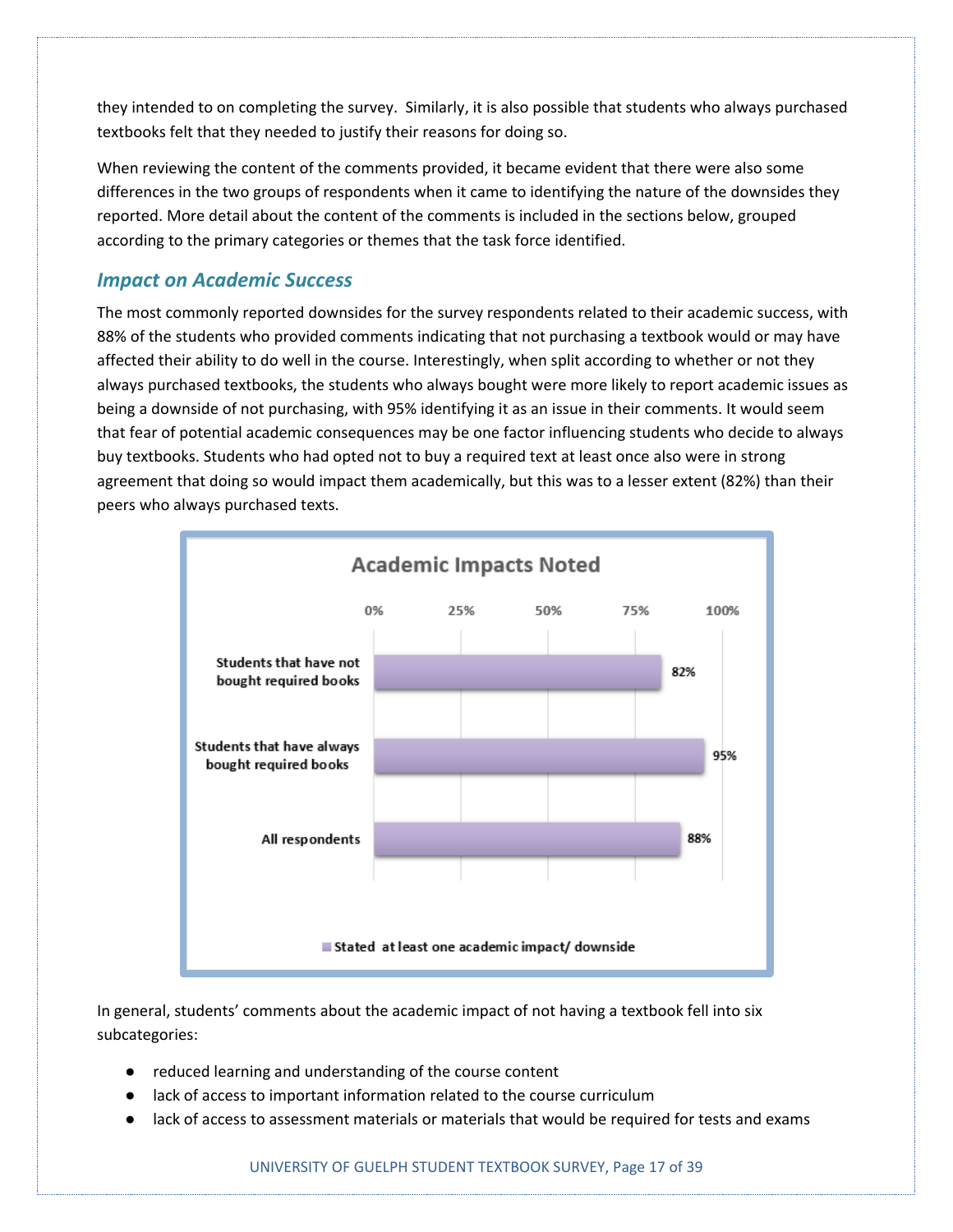they intended to on completing the survey. Similarly, it is also possible that students who always purchased textbooks felt that they needed to justify their reasons for doing so.

When reviewing the content of the comments provided, it became evident that there were also some differences in the two groups of respondents when it came to identifying the nature of the downsides they reported. More detail about the content of the comments is included in the sections below, grouped according to the primary categories or themes that the task force identified.

#### *Impact on Academic Success*

The most commonly reported downsides for the survey respondents related to their academic success, with 88% of the students who provided comments indicating that not purchasing a textbook would or may have affected their ability to do well in the course. Interestingly, when split according to whether or not they always purchased textbooks, the students who always bought were more likely to report academic issues as being a downside of not purchasing, with 95% identifying it as an issue in their comments. It would seem that fear of potential academic consequences may be one factor influencing students who decide to always buy textbooks. Students who had opted not to buy a required text at least once also were in strong agreement that doing so would impact them academically, but this was to a lesser extent (82%) than their peers who always purchased texts.



In general, students' comments about the academic impact of not having a textbook fell into six subcategories:

- reduced learning and understanding of the course content
- lack of access to important information related to the course curriculum
- lack of access to assessment materials or materials that would be required for tests and exams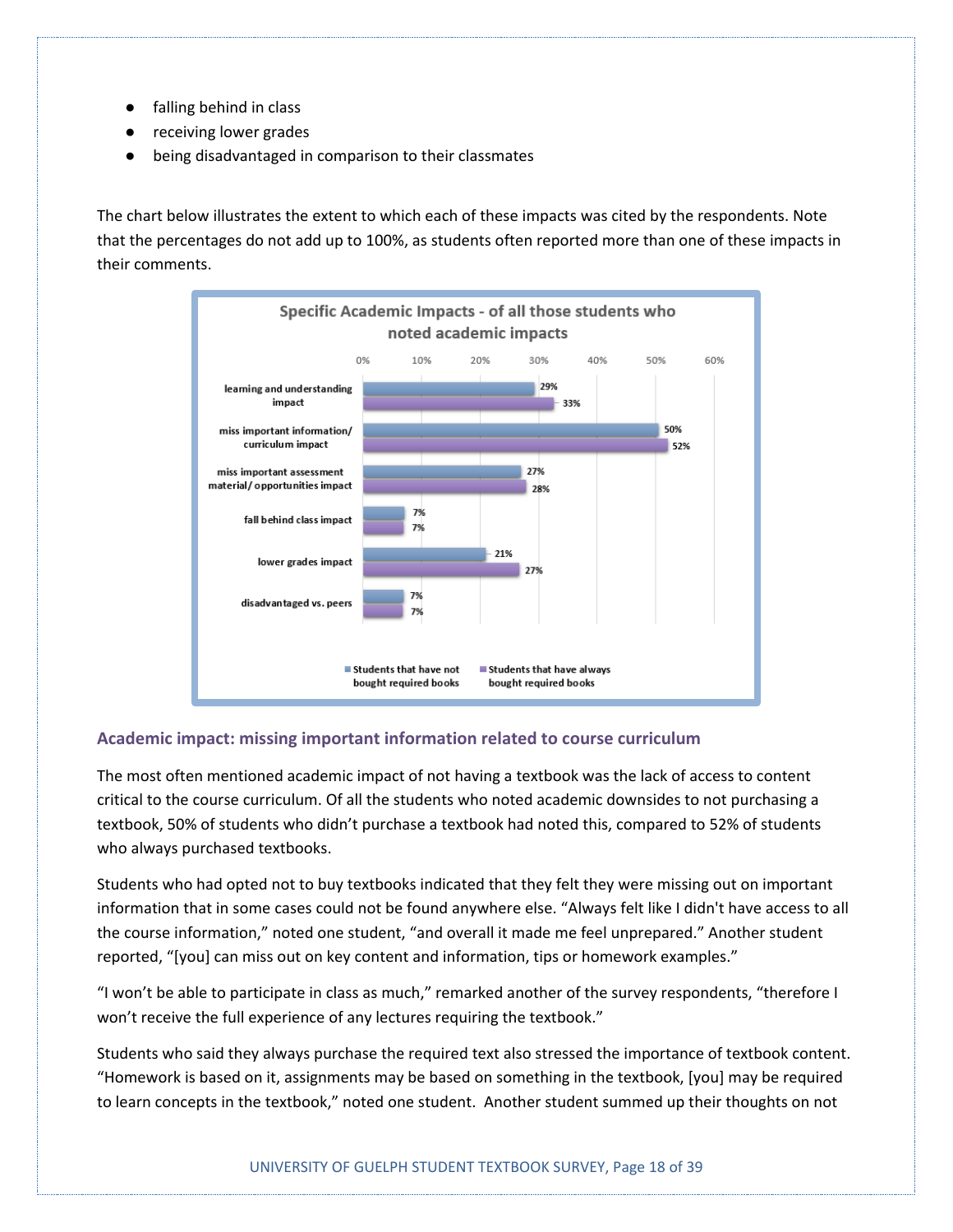- falling behind in class
- receiving lower grades
- being disadvantaged in comparison to their classmates

The chart below illustrates the extent to which each of these impacts was cited by the respondents. Note that the percentages do not add up to 100%, as students often reported more than one of these impacts in their comments.



#### **Academic impact: missing important information related to course curriculum**

The most often mentioned academic impact of not having a textbook was the lack of access to content critical to the course curriculum. Of all the students who noted academic downsides to not purchasing a textbook, 50% of students who didn't purchase a textbook had noted this, compared to 52% of students who always purchased textbooks.

Students who had opted not to buy textbooks indicated that they felt they were missing out on important information that in some cases could not be found anywhere else. "Always felt like I didn't have access to all the course information," noted one student, "and overall it made me feel unprepared." Another student reported, "[you] can miss out on key content and information, tips or homework examples."

"I won't be able to participate in class as much," remarked another of the survey respondents, "therefore I won't receive the full experience of any lectures requiring the textbook."

Students who said they always purchase the required text also stressed the importance of textbook content. "Homework is based on it, assignments may be based on something in the textbook, [you] may be required to learn concepts in the textbook," noted one student. Another student summed up their thoughts on not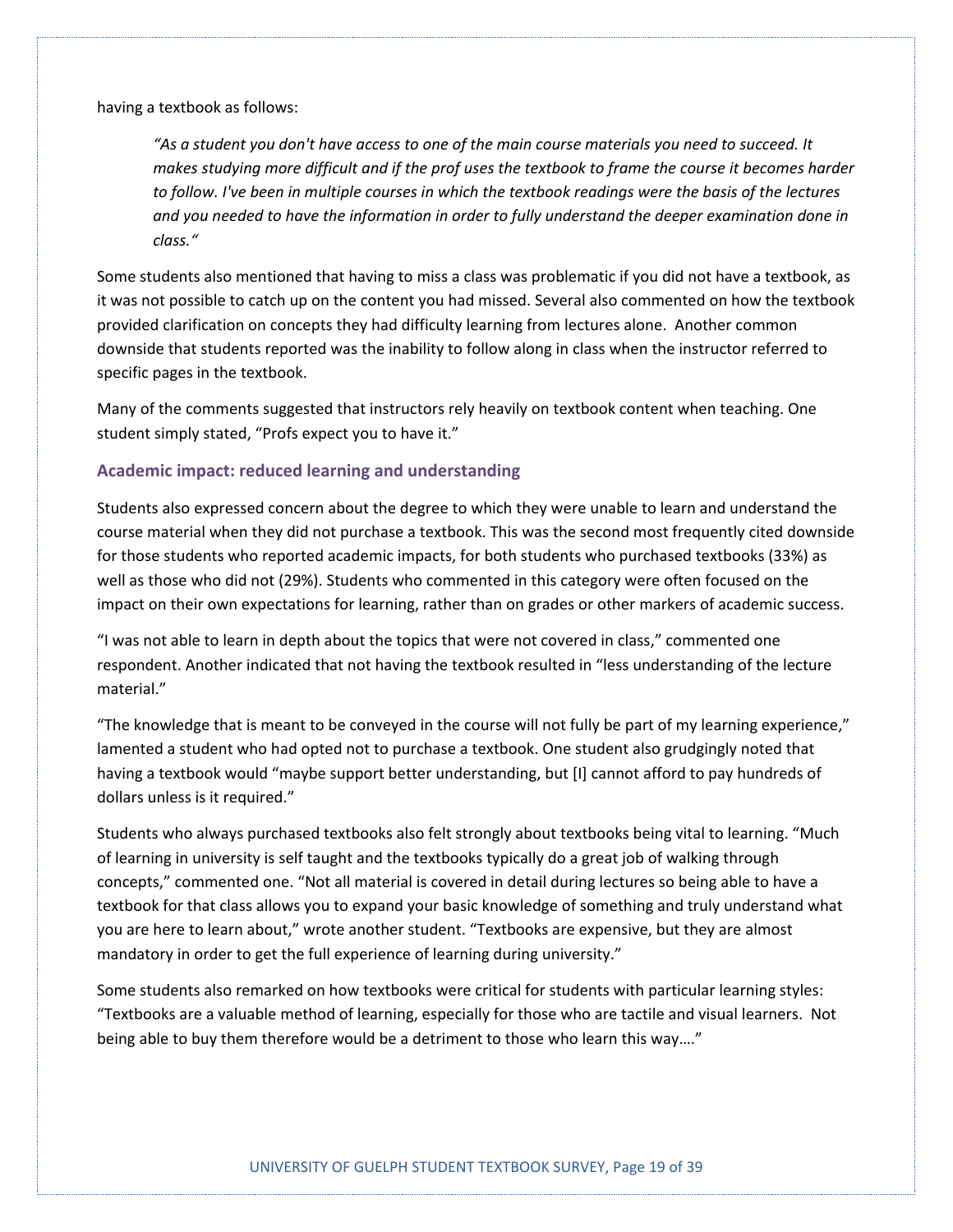having a textbook as follows:

*"As a student you don't have access to one of the main course materials you need to succeed. It makes studying more difficult and if the prof uses the textbook to frame the course it becomes harder to follow. I've been in multiple courses in which the textbook readings were the basis of the lectures and you needed to have the information in order to fully understand the deeper examination done in class."*

Some students also mentioned that having to miss a class was problematic if you did not have a textbook, as it was not possible to catch up on the content you had missed. Several also commented on how the textbook provided clarification on concepts they had difficulty learning from lectures alone. Another common downside that students reported was the inability to follow along in class when the instructor referred to specific pages in the textbook.

Many of the comments suggested that instructors rely heavily on textbook content when teaching. One student simply stated, "Profs expect you to have it."

#### **Academic impact: reduced learning and understanding**

Students also expressed concern about the degree to which they were unable to learn and understand the course material when they did not purchase a textbook. This was the second most frequently cited downside for those students who reported academic impacts, for both students who purchased textbooks (33%) as well as those who did not (29%). Students who commented in this category were often focused on the impact on their own expectations for learning, rather than on grades or other markers of academic success.

"I was not able to learn in depth about the topics that were not covered in class," commented one respondent. Another indicated that not having the textbook resulted in "less understanding of the lecture material."

"The knowledge that is meant to be conveyed in the course will not fully be part of my learning experience," lamented a student who had opted not to purchase a textbook. One student also grudgingly noted that having a textbook would "maybe support better understanding, but [I] cannot afford to pay hundreds of dollars unless is it required."

Students who always purchased textbooks also felt strongly about textbooks being vital to learning. "Much of learning in university is self taught and the textbooks typically do a great job of walking through concepts," commented one. "Not all material is covered in detail during lectures so being able to have a textbook for that class allows you to expand your basic knowledge of something and truly understand what you are here to learn about," wrote another student. "Textbooks are expensive, but they are almost mandatory in order to get the full experience of learning during university."

Some students also remarked on how textbooks were critical for students with particular learning styles: "Textbooks are a valuable method of learning, especially for those who are tactile and visual learners. Not being able to buy them therefore would be a detriment to those who learn this way…."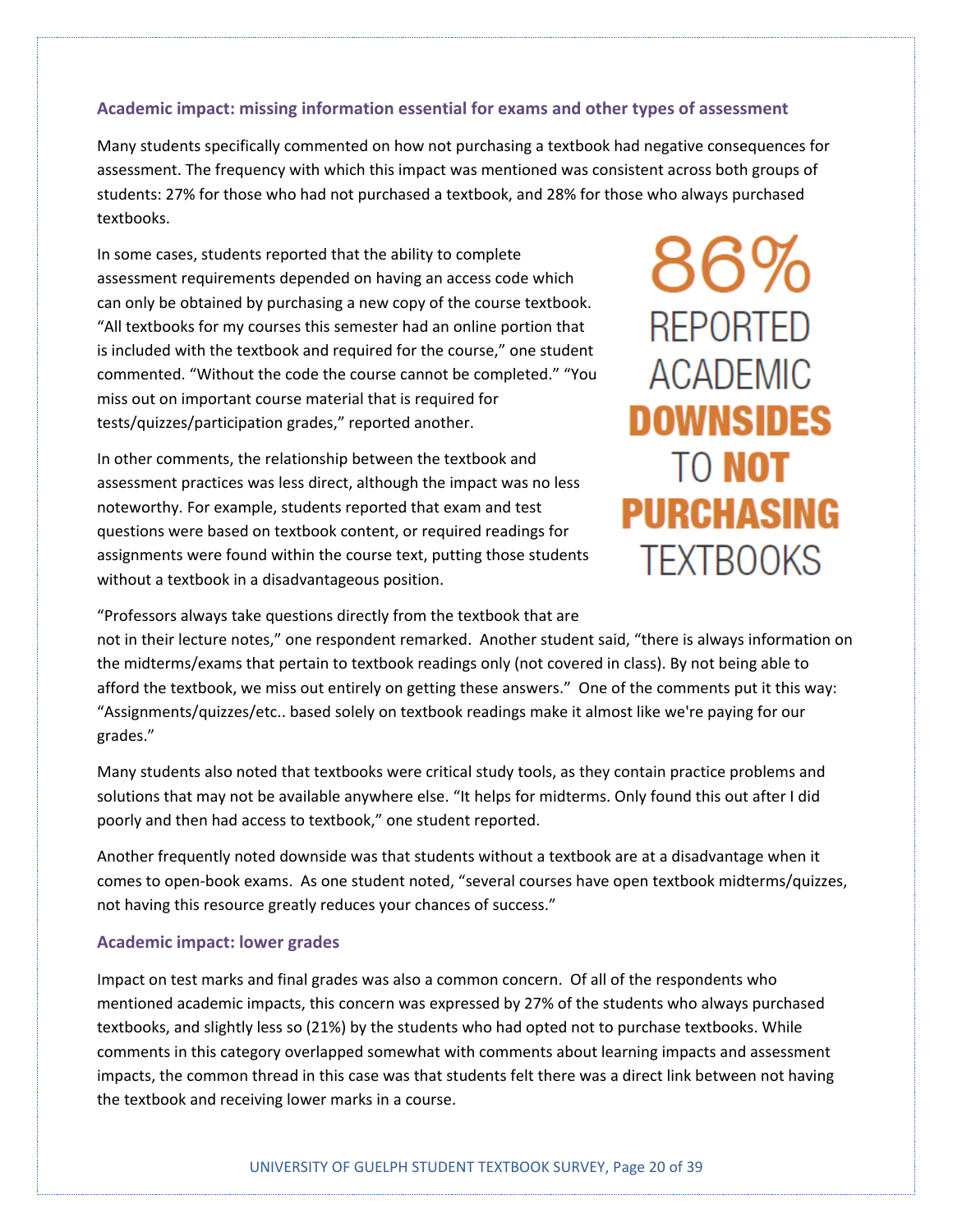#### **Academic impact: missing information essential for exams and other types of assessment**

Many students specifically commented on how not purchasing a textbook had negative consequences for assessment. The frequency with which this impact was mentioned was consistent across both groups of students: 27% for those who had not purchased a textbook, and 28% for those who always purchased textbooks.

In some cases, students reported that the ability to complete assessment requirements depended on having an access code which can only be obtained by purchasing a new copy of the course textbook. "All textbooks for my courses this semester had an online portion that is included with the textbook and required for the course," one student commented. "Without the code the course cannot be completed." "You miss out on important course material that is required for tests/quizzes/participation grades," reported another.

In other comments, the relationship between the textbook and assessment practices was less direct, although the impact was no less noteworthy. For example, students reported that exam and test questions were based on textbook content, or required readings for assignments were found within the course text, putting those students without a textbook in a disadvantageous position.

86% **REPORTED ACADEMIC DOWNSIDES TO NOT PURCHASING TEXTBOOKS** 

"Professors always take questions directly from the textbook that are

not in their lecture notes," one respondent remarked. Another student said, "there is always information on the midterms/exams that pertain to textbook readings only (not covered in class). By not being able to afford the textbook, we miss out entirely on getting these answers." One of the comments put it this way: "Assignments/quizzes/etc.. based solely on textbook readings make it almost like we're paying for our grades."

Many students also noted that textbooks were critical study tools, as they contain practice problems and solutions that may not be available anywhere else. "It helps for midterms. Only found this out after I did poorly and then had access to textbook," one student reported.

Another frequently noted downside was that students without a textbook are at a disadvantage when it comes to open-book exams. As one student noted, "several courses have open textbook midterms/quizzes, not having this resource greatly reduces your chances of success."

#### **Academic impact: lower grades**

Impact on test marks and final grades was also a common concern. Of all of the respondents who mentioned academic impacts, this concern was expressed by 27% of the students who always purchased textbooks, and slightly less so (21%) by the students who had opted not to purchase textbooks. While comments in this category overlapped somewhat with comments about learning impacts and assessment impacts, the common thread in this case was that students felt there was a direct link between not having the textbook and receiving lower marks in a course.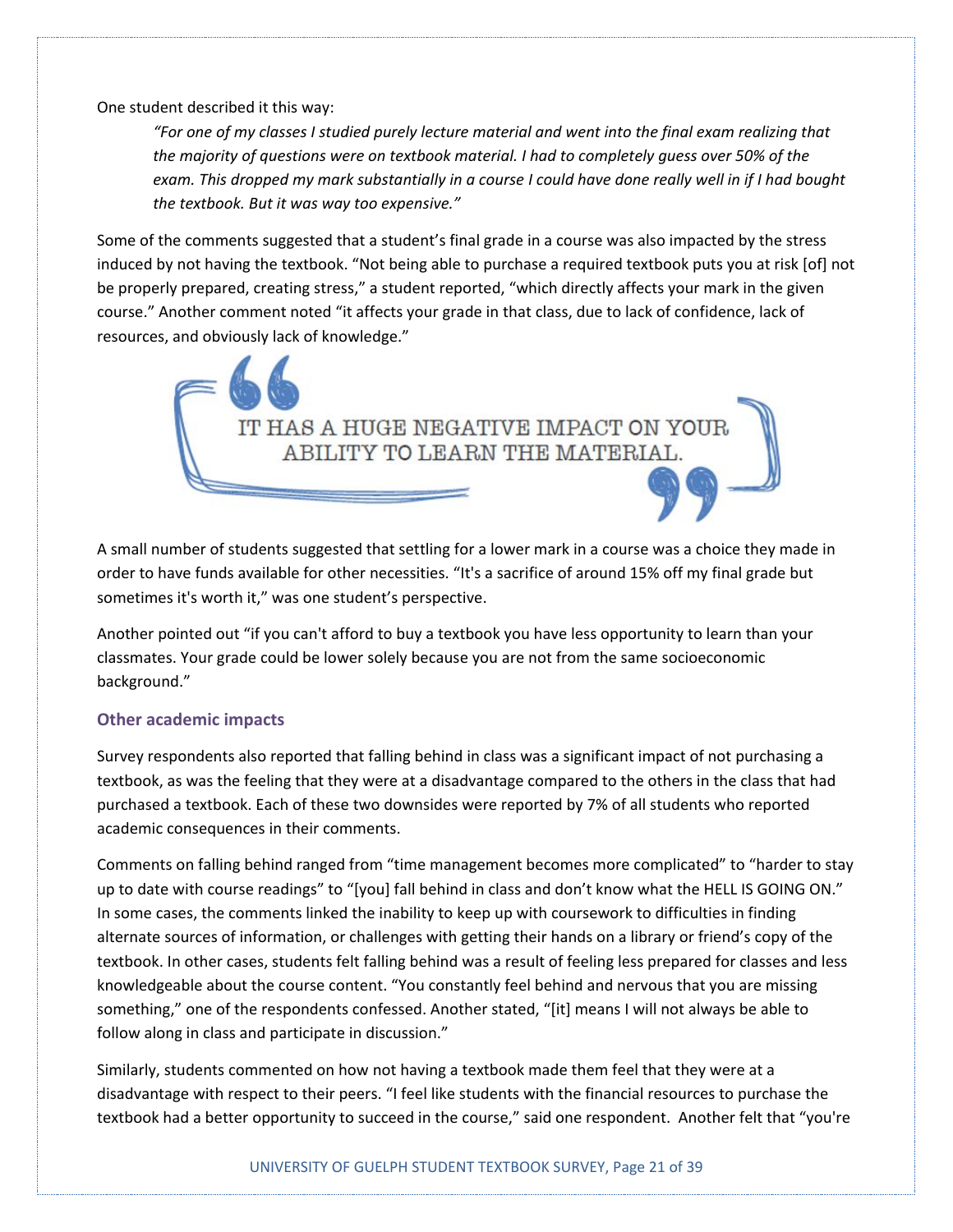One student described it this way:

*"For one of my classes I studied purely lecture material and went into the final exam realizing that the majority of questions were on textbook material. I had to completely guess over 50% of the exam. This dropped my mark substantially in a course I could have done really well in if I had bought the textbook. But it was way too expensive."*

Some of the comments suggested that a student's final grade in a course was also impacted by the stress induced by not having the textbook. "Not being able to purchase a required textbook puts you at risk [of] not be properly prepared, creating stress," a student reported, "which directly affects your mark in the given course." Another comment noted "it affects your grade in that class, due to lack of confidence, lack of resources, and obviously lack of knowledge."



A small number of students suggested that settling for a lower mark in a course was a choice they made in order to have funds available for other necessities. "It's a sacrifice of around 15% off my final grade but sometimes it's worth it," was one student's perspective.

Another pointed out "if you can't afford to buy a textbook you have less opportunity to learn than your classmates. Your grade could be lower solely because you are not from the same socioeconomic background."

#### **Other academic impacts**

Survey respondents also reported that falling behind in class was a significant impact of not purchasing a textbook, as was the feeling that they were at a disadvantage compared to the others in the class that had purchased a textbook. Each of these two downsides were reported by 7% of all students who reported academic consequences in their comments.

Comments on falling behind ranged from "time management becomes more complicated" to "harder to stay up to date with course readings" to "[you] fall behind in class and don't know what the HELL IS GOING ON." In some cases, the comments linked the inability to keep up with coursework to difficulties in finding alternate sources of information, or challenges with getting their hands on a library or friend's copy of the textbook. In other cases, students felt falling behind was a result of feeling less prepared for classes and less knowledgeable about the course content. "You constantly feel behind and nervous that you are missing something," one of the respondents confessed. Another stated, "[it] means I will not always be able to follow along in class and participate in discussion."

Similarly, students commented on how not having a textbook made them feel that they were at a disadvantage with respect to their peers. "I feel like students with the financial resources to purchase the textbook had a better opportunity to succeed in the course," said one respondent. Another felt that "you're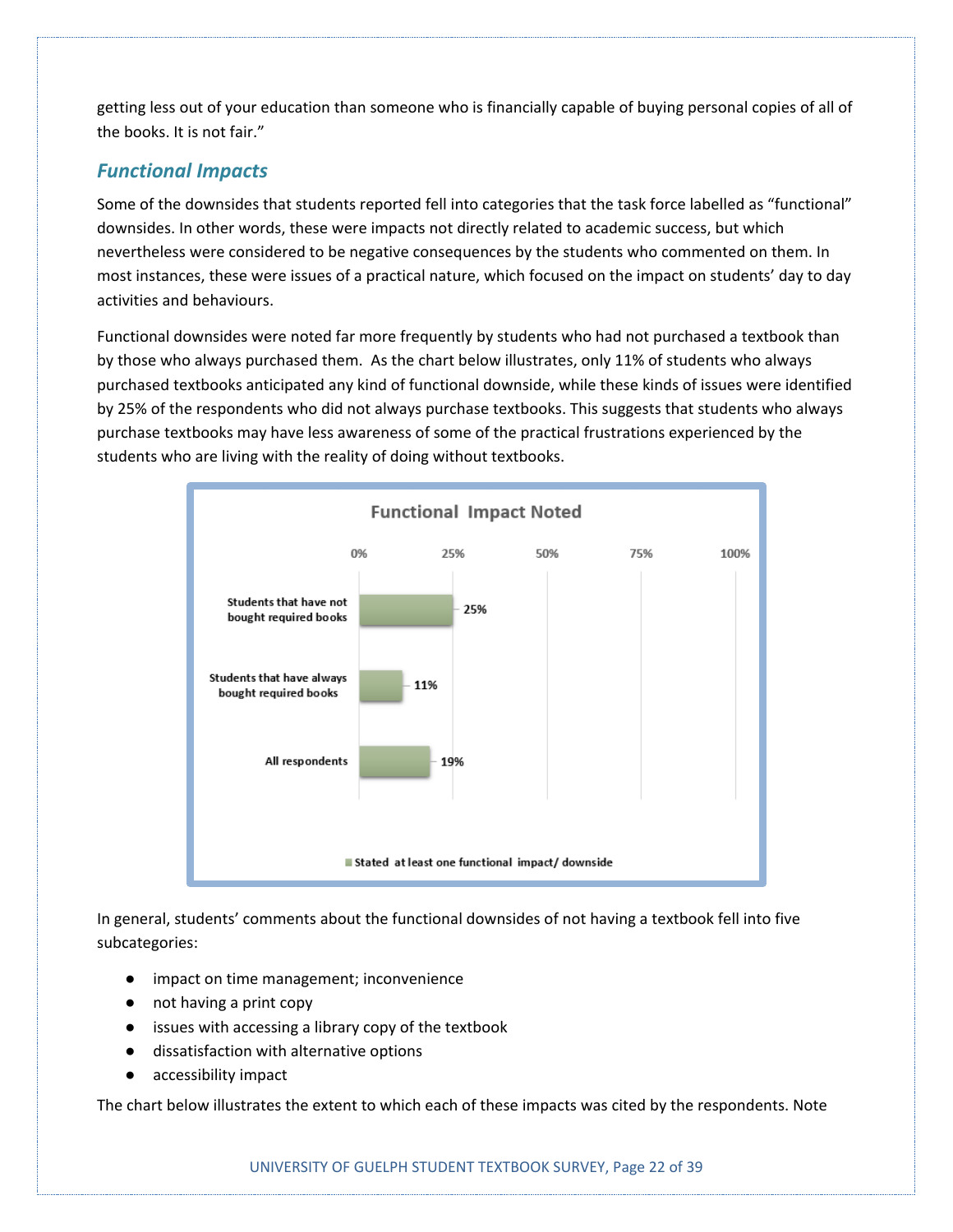getting less out of your education than someone who is financially capable of buying personal copies of all of the books. It is not fair."

#### *Functional Impacts*

Some of the downsides that students reported fell into categories that the task force labelled as "functional" downsides. In other words, these were impacts not directly related to academic success, but which nevertheless were considered to be negative consequences by the students who commented on them. In most instances, these were issues of a practical nature, which focused on the impact on students' day to day activities and behaviours.

Functional downsides were noted far more frequently by students who had not purchased a textbook than by those who always purchased them. As the chart below illustrates, only 11% of students who always purchased textbooks anticipated any kind of functional downside, while these kinds of issues were identified by 25% of the respondents who did not always purchase textbooks. This suggests that students who always purchase textbooks may have less awareness of some of the practical frustrations experienced by the students who are living with the reality of doing without textbooks.



In general, students' comments about the functional downsides of not having a textbook fell into five subcategories:

- impact on time management; inconvenience
- not having a print copy
- issues with accessing a library copy of the textbook
- dissatisfaction with alternative options
- accessibility impact

The chart below illustrates the extent to which each of these impacts was cited by the respondents. Note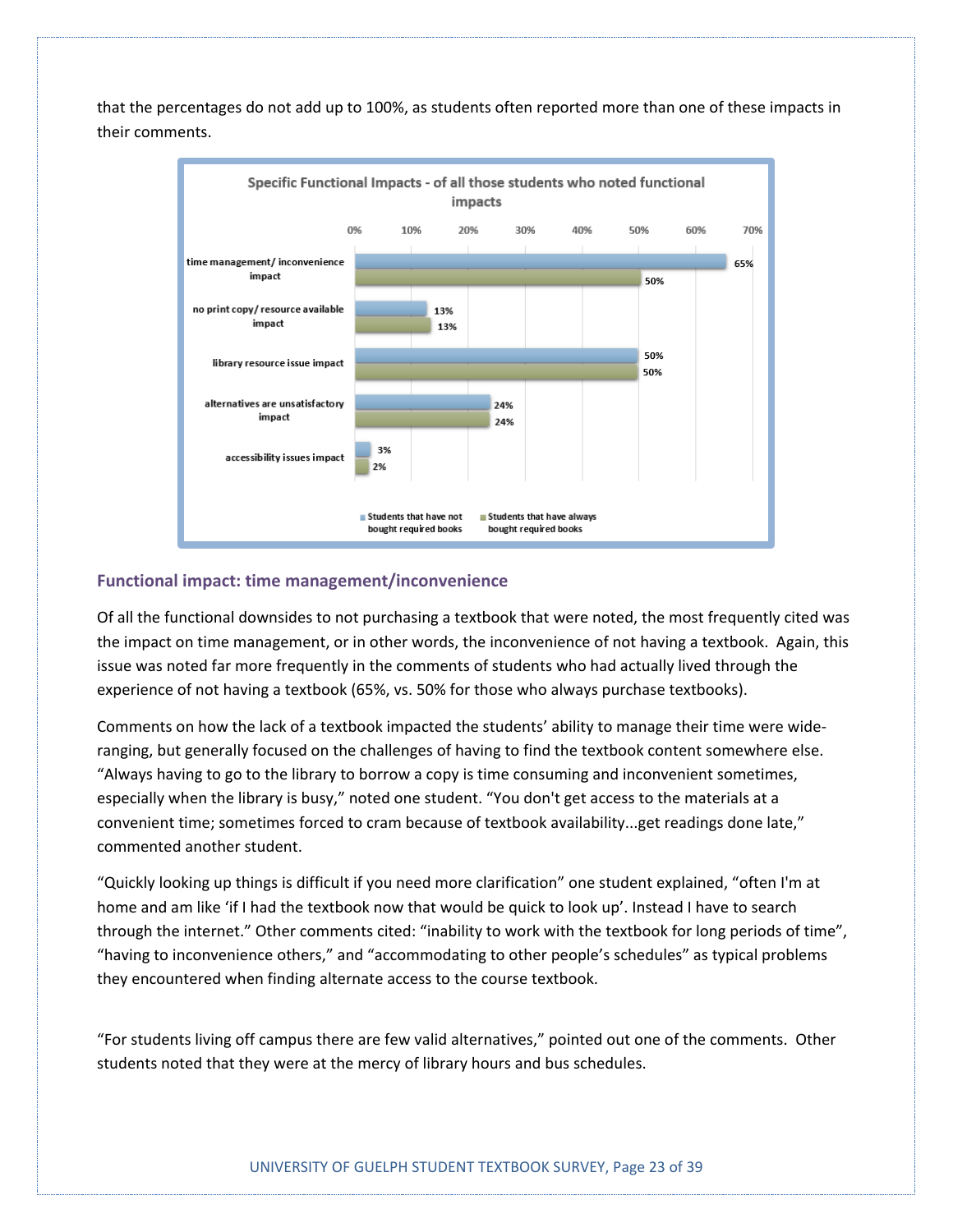

that the percentages do not add up to 100%, as students often reported more than one of these impacts in their comments.

#### **Functional impact: time management/inconvenience**

Of all the functional downsides to not purchasing a textbook that were noted, the most frequently cited was the impact on time management, or in other words, the inconvenience of not having a textbook. Again, this issue was noted far more frequently in the comments of students who had actually lived through the experience of not having a textbook (65%, vs. 50% for those who always purchase textbooks).

Comments on how the lack of a textbook impacted the students' ability to manage their time were wideranging, but generally focused on the challenges of having to find the textbook content somewhere else. "Always having to go to the library to borrow a copy is time consuming and inconvenient sometimes, especially when the library is busy," noted one student. "You don't get access to the materials at a convenient time; sometimes forced to cram because of textbook availability...get readings done late," commented another student.

"Quickly looking up things is difficult if you need more clarification" one student explained, "often I'm at home and am like 'if I had the textbook now that would be quick to look up'. Instead I have to search through the internet." Other comments cited: "inability to work with the textbook for long periods of time", "having to inconvenience others," and "accommodating to other people's schedules" as typical problems they encountered when finding alternate access to the course textbook.

"For students living off campus there are few valid alternatives," pointed out one of the comments. Other students noted that they were at the mercy of library hours and bus schedules.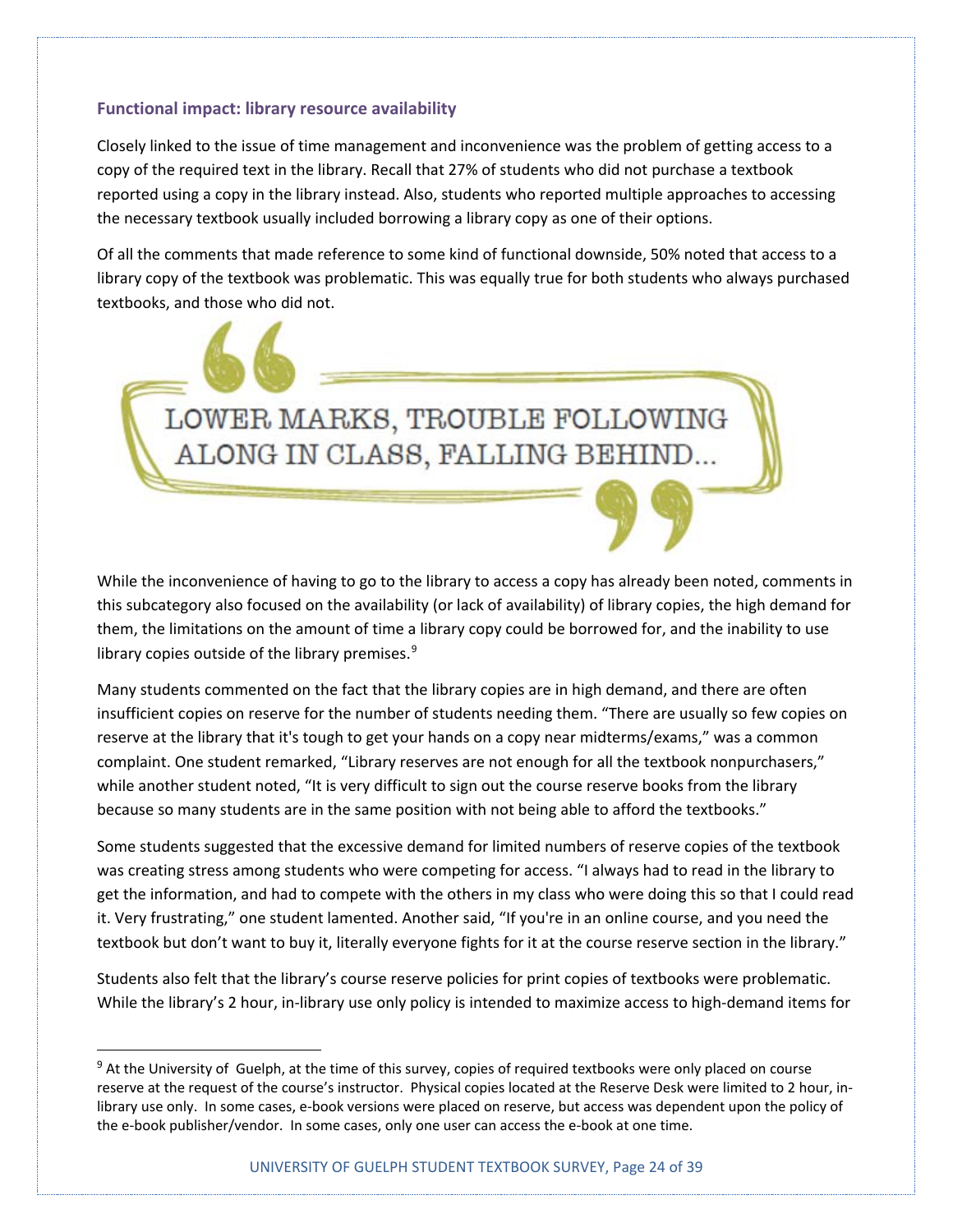#### **Functional impact: library resource availability**

Closely linked to the issue of time management and inconvenience was the problem of getting access to a copy of the required text in the library. Recall that 27% of students who did not purchase a textbook reported using a copy in the library instead. Also, students who reported multiple approaches to accessing the necessary textbook usually included borrowing a library copy as one of their options.

Of all the comments that made reference to some kind of functional downside, 50% noted that access to a library copy of the textbook was problematic. This was equally true for both students who always purchased textbooks, and those who did not.

LOWER MARKS, TROUBLE FOLLOWING

ALONG IN CLASS, FALLING BEHIND...

While the inconvenience of having to go to the library to access a copy has already been noted, comments in this subcategory also focused on the availability (or lack of availability) of library copies, the high demand for them, the limitations on the amount of time a library copy could be borrowed for, and the inability to use library copies outside of the library premises. $9$ 

Many students commented on the fact that the library copies are in high demand, and there are often insufficient copies on reserve for the number of students needing them. "There are usually so few copies on reserve at the library that it's tough to get your hands on a copy near midterms/exams," was a common complaint. One student remarked, "Library reserves are not enough for all the textbook nonpurchasers," while another student noted, "It is very difficult to sign out the course reserve books from the library because so many students are in the same position with not being able to afford the textbooks."

Some students suggested that the excessive demand for limited numbers of reserve copies of the textbook was creating stress among students who were competing for access. "I always had to read in the library to get the information, and had to compete with the others in my class who were doing this so that I could read it. Very frustrating," one student lamented. Another said, "If you're in an online course, and you need the textbook but don't want to buy it, literally everyone fights for it at the course reserve section in the library."

Students also felt that the library's course reserve policies for print copies of textbooks were problematic. While the library's 2 hour, in-library use only policy is intended to maximize access to high-demand items for

<span id="page-23-0"></span><sup>&</sup>lt;sup>9</sup> At the University of Guelph, at the time of this survey, copies of required textbooks were only placed on course reserve at the request of the course's instructor. Physical copies located at the Reserve Desk were limited to 2 hour, inlibrary use only. In some cases, e-book versions were placed on reserve, but access was dependent upon the policy of the e-book publisher/vendor. In some cases, only one user can access the e-book at one time.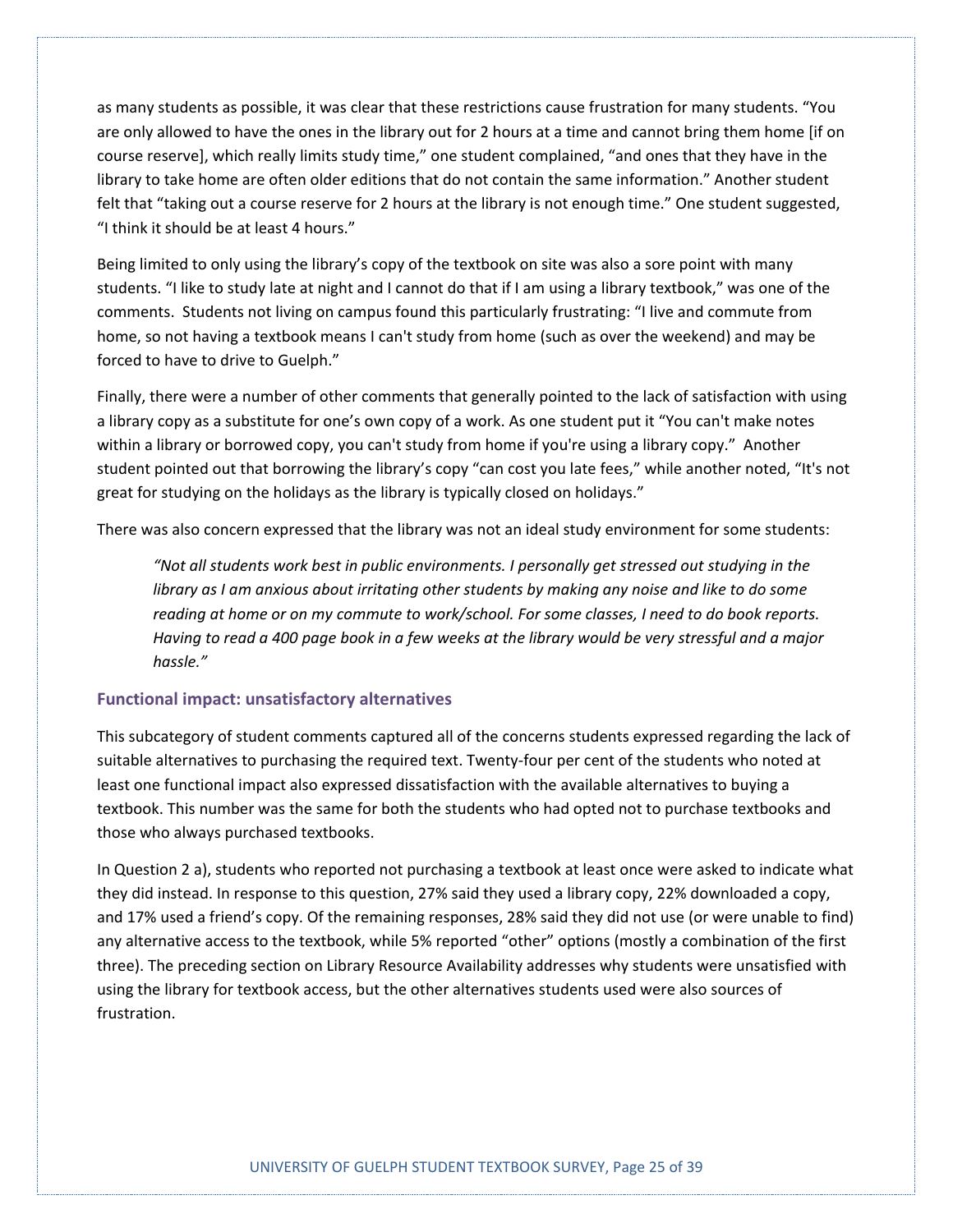as many students as possible, it was clear that these restrictions cause frustration for many students. "You are only allowed to have the ones in the library out for 2 hours at a time and cannot bring them home [if on course reserve], which really limits study time," one student complained, "and ones that they have in the library to take home are often older editions that do not contain the same information." Another student felt that "taking out a course reserve for 2 hours at the library is not enough time." One student suggested, "I think it should be at least 4 hours."

Being limited to only using the library's copy of the textbook on site was also a sore point with many students. "I like to study late at night and I cannot do that if I am using a library textbook," was one of the comments. Students not living on campus found this particularly frustrating: "I live and commute from home, so not having a textbook means I can't study from home (such as over the weekend) and may be forced to have to drive to Guelph."

Finally, there were a number of other comments that generally pointed to the lack of satisfaction with using a library copy as a substitute for one's own copy of a work. As one student put it "You can't make notes within a library or borrowed copy, you can't study from home if you're using a library copy." Another student pointed out that borrowing the library's copy "can cost you late fees," while another noted, "It's not great for studying on the holidays as the library is typically closed on holidays."

There was also concern expressed that the library was not an ideal study environment for some students:

*"Not all students work best in public environments. I personally get stressed out studying in the library as I am anxious about irritating other students by making any noise and like to do some reading at home or on my commute to work/school. For some classes, I need to do book reports. Having to read a 400 page book in a few weeks at the library would be very stressful and a major hassle."*

#### **Functional impact: unsatisfactory alternatives**

This subcategory of student comments captured all of the concerns students expressed regarding the lack of suitable alternatives to purchasing the required text. Twenty-four per cent of the students who noted at least one functional impact also expressed dissatisfaction with the available alternatives to buying a textbook. This number was the same for both the students who had opted not to purchase textbooks and those who always purchased textbooks.

In Question 2 a), students who reported not purchasing a textbook at least once were asked to indicate what they did instead. In response to this question, 27% said they used a library copy, 22% downloaded a copy, and 17% used a friend's copy. Of the remaining responses, 28% said they did not use (or were unable to find) any alternative access to the textbook, while 5% reported "other" options (mostly a combination of the first three). The preceding section on Library Resource Availability addresses why students were unsatisfied with using the library for textbook access, but the other alternatives students used were also sources of frustration.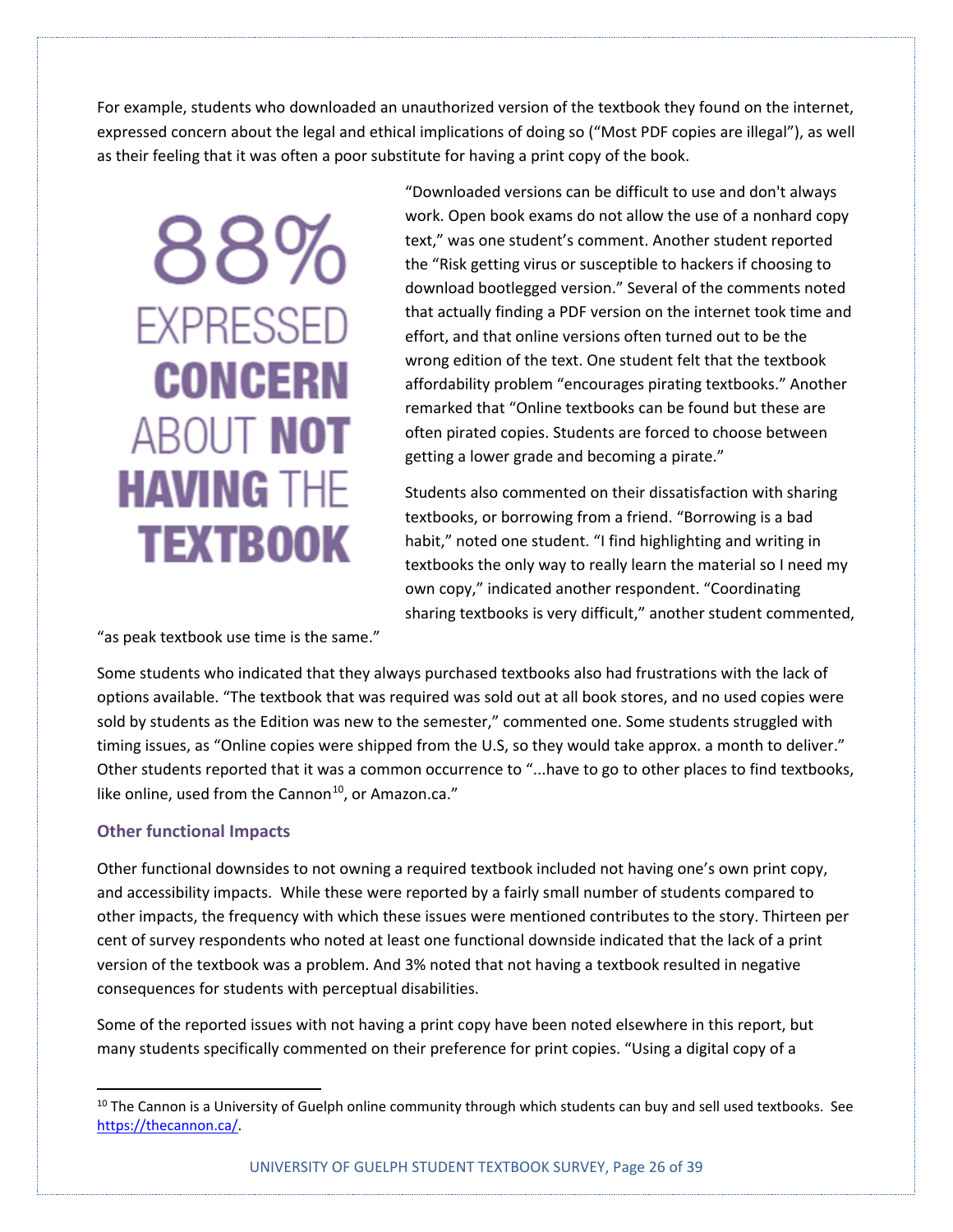For example, students who downloaded an unauthorized version of the textbook they found on the internet, expressed concern about the legal and ethical implications of doing so ("Most PDF copies are illegal"), as well as their feeling that it was often a poor substitute for having a print copy of the book.

88% **EXPRESSED CONCERN** ABOUT NOT **HAVING THE TEXTBOOK** 

"Downloaded versions can be difficult to use and don't always work. Open book exams do not allow the use of a nonhard copy text," was one student's comment. Another student reported the "Risk getting virus or susceptible to hackers if choosing to download bootlegged version." Several of the comments noted that actually finding a PDF version on the internet took time and effort, and that online versions often turned out to be the wrong edition of the text. One student felt that the textbook affordability problem "encourages pirating textbooks." Another remarked that "Online textbooks can be found but these are often pirated copies. Students are forced to choose between getting a lower grade and becoming a pirate."

Students also commented on their dissatisfaction with sharing textbooks, or borrowing from a friend. "Borrowing is a bad habit," noted one student. "I find highlighting and writing in textbooks the only way to really learn the material so I need my own copy," indicated another respondent. "Coordinating sharing textbooks is very difficult," another student commented,

"as peak textbook use time is the same."

Some students who indicated that they always purchased textbooks also had frustrations with the lack of options available. "The textbook that was required was sold out at all book stores, and no used copies were sold by students as the Edition was new to the semester," commented one. Some students struggled with timing issues, as "Online copies were shipped from the U.S, so they would take approx. a month to deliver." Other students reported that it was a common occurrence to "...have to go to other places to find textbooks, like online, used from the Cannon<sup>10</sup>, or Amazon.ca."

#### **Other functional Impacts**

Other functional downsides to not owning a required textbook included not having one's own print copy, and accessibility impacts. While these were reported by a fairly small number of students compared to other impacts, the frequency with which these issues were mentioned contributes to the story. Thirteen per cent of survey respondents who noted at least one functional downside indicated that the lack of a print version of the textbook was a problem. And 3% noted that not having a textbook resulted in negative consequences for students with perceptual disabilities.

Some of the reported issues with not having a print copy have been noted elsewhere in this report, but many students specifically commented on their preference for print copies. "Using a digital copy of a

<span id="page-25-0"></span><sup>&</sup>lt;sup>10</sup> The Cannon is a University of Guelph online community through which students can buy and sell used textbooks. See [https://thecannon.ca/.](https://thecannon.ca/)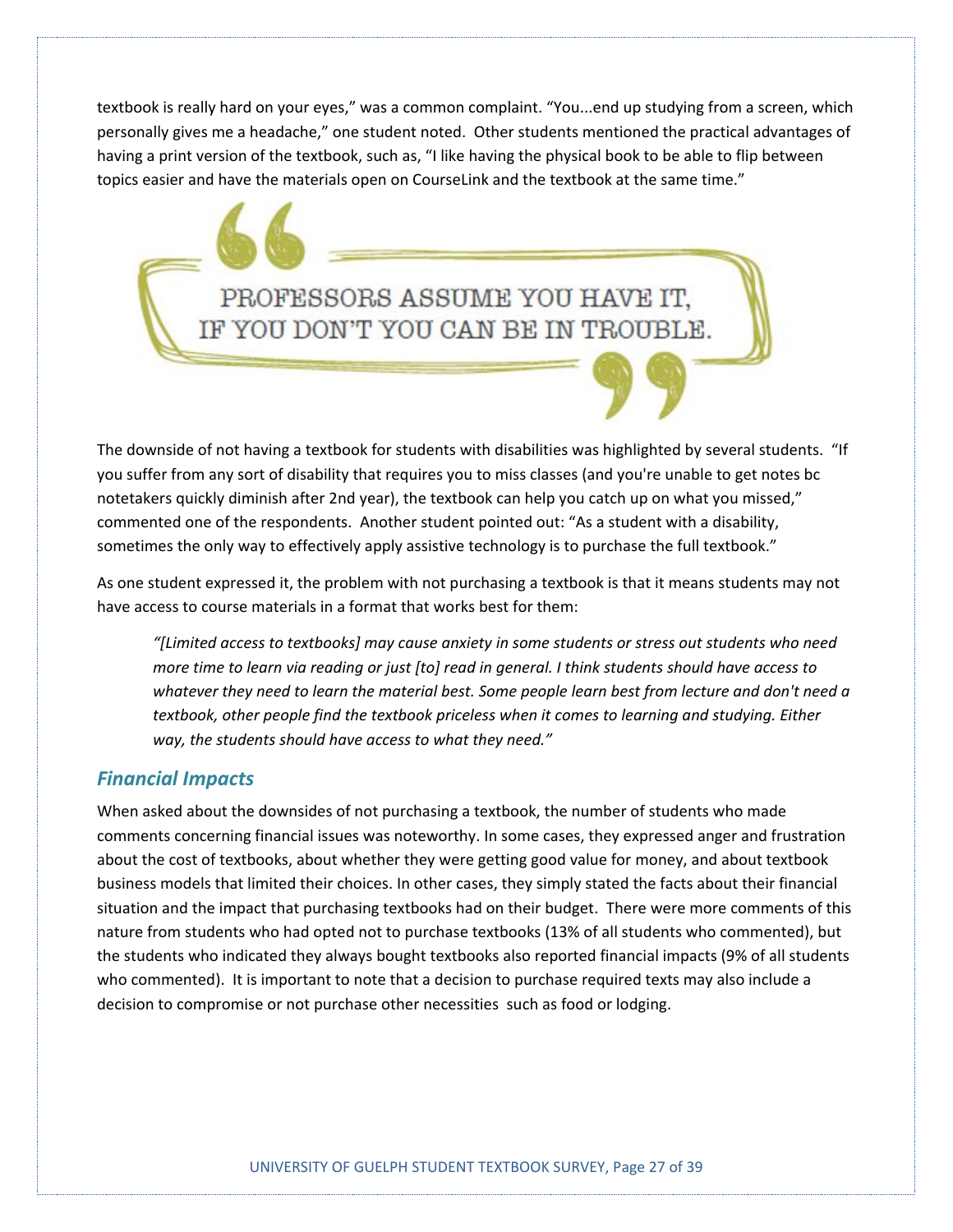textbook is really hard on your eyes," was a common complaint. "You...end up studying from a screen, which personally gives me a headache," one student noted. Other students mentioned the practical advantages of having a print version of the textbook, such as, "I like having the physical book to be able to flip between topics easier and have the materials open on CourseLink and the textbook at the same time."

> PROFESSORS ASSUME YOU HAVE IT, IF YOU DON'T YOU CAN BE IN TROUBLE.

The downside of not having a textbook for students with disabilities was highlighted by several students. "If you suffer from any sort of disability that requires you to miss classes (and you're unable to get notes bc notetakers quickly diminish after 2nd year), the textbook can help you catch up on what you missed," commented one of the respondents. Another student pointed out: "As a student with a disability, sometimes the only way to effectively apply assistive technology is to purchase the full textbook."

As one student expressed it, the problem with not purchasing a textbook is that it means students may not have access to course materials in a format that works best for them:

*"[Limited access to textbooks] may cause anxiety in some students or stress out students who need more time to learn via reading or just [to] read in general. I think students should have access to whatever they need to learn the material best. Some people learn best from lecture and don't need a textbook, other people find the textbook priceless when it comes to learning and studying. Either way, the students should have access to what they need."*

#### *Financial Impacts*

When asked about the downsides of not purchasing a textbook, the number of students who made comments concerning financial issues was noteworthy. In some cases, they expressed anger and frustration about the cost of textbooks, about whether they were getting good value for money, and about textbook business models that limited their choices. In other cases, they simply stated the facts about their financial situation and the impact that purchasing textbooks had on their budget. There were more comments of this nature from students who had opted not to purchase textbooks (13% of all students who commented), but the students who indicated they always bought textbooks also reported financial impacts (9% of all students who commented). It is important to note that a decision to purchase required texts may also include a decision to compromise or not purchase other necessities such as food or lodging.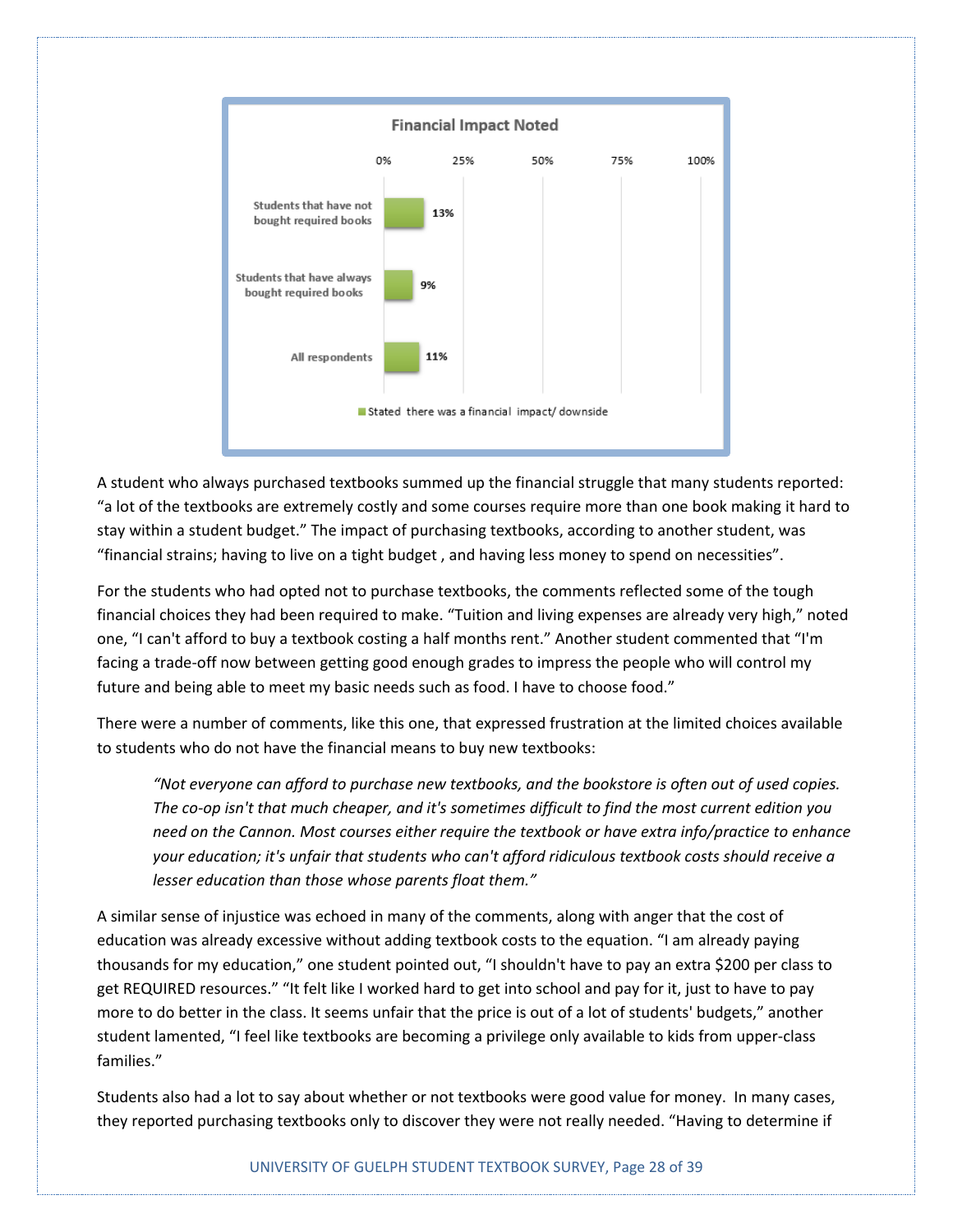

A student who always purchased textbooks summed up the financial struggle that many students reported: "a lot of the textbooks are extremely costly and some courses require more than one book making it hard to stay within a student budget." The impact of purchasing textbooks, according to another student, was "financial strains; having to live on a tight budget , and having less money to spend on necessities".

For the students who had opted not to purchase textbooks, the comments reflected some of the tough financial choices they had been required to make. "Tuition and living expenses are already very high," noted one, "I can't afford to buy a textbook costing a half months rent." Another student commented that "I'm facing a trade-off now between getting good enough grades to impress the people who will control my future and being able to meet my basic needs such as food. I have to choose food."

There were a number of comments, like this one, that expressed frustration at the limited choices available to students who do not have the financial means to buy new textbooks:

*"Not everyone can afford to purchase new textbooks, and the bookstore is often out of used copies. The co-op isn't that much cheaper, and it's sometimes difficult to find the most current edition you need on the Cannon. Most courses either require the textbook or have extra info/practice to enhance your education; it's unfair that students who can't afford ridiculous textbook costs should receive a lesser education than those whose parents float them."*

A similar sense of injustice was echoed in many of the comments, along with anger that the cost of education was already excessive without adding textbook costs to the equation. "I am already paying thousands for my education," one student pointed out, "I shouldn't have to pay an extra \$200 per class to get REQUIRED resources." "It felt like I worked hard to get into school and pay for it, just to have to pay more to do better in the class. It seems unfair that the price is out of a lot of students' budgets," another student lamented, "I feel like textbooks are becoming a privilege only available to kids from upper-class families."

Students also had a lot to say about whether or not textbooks were good value for money. In many cases, they reported purchasing textbooks only to discover they were not really needed. "Having to determine if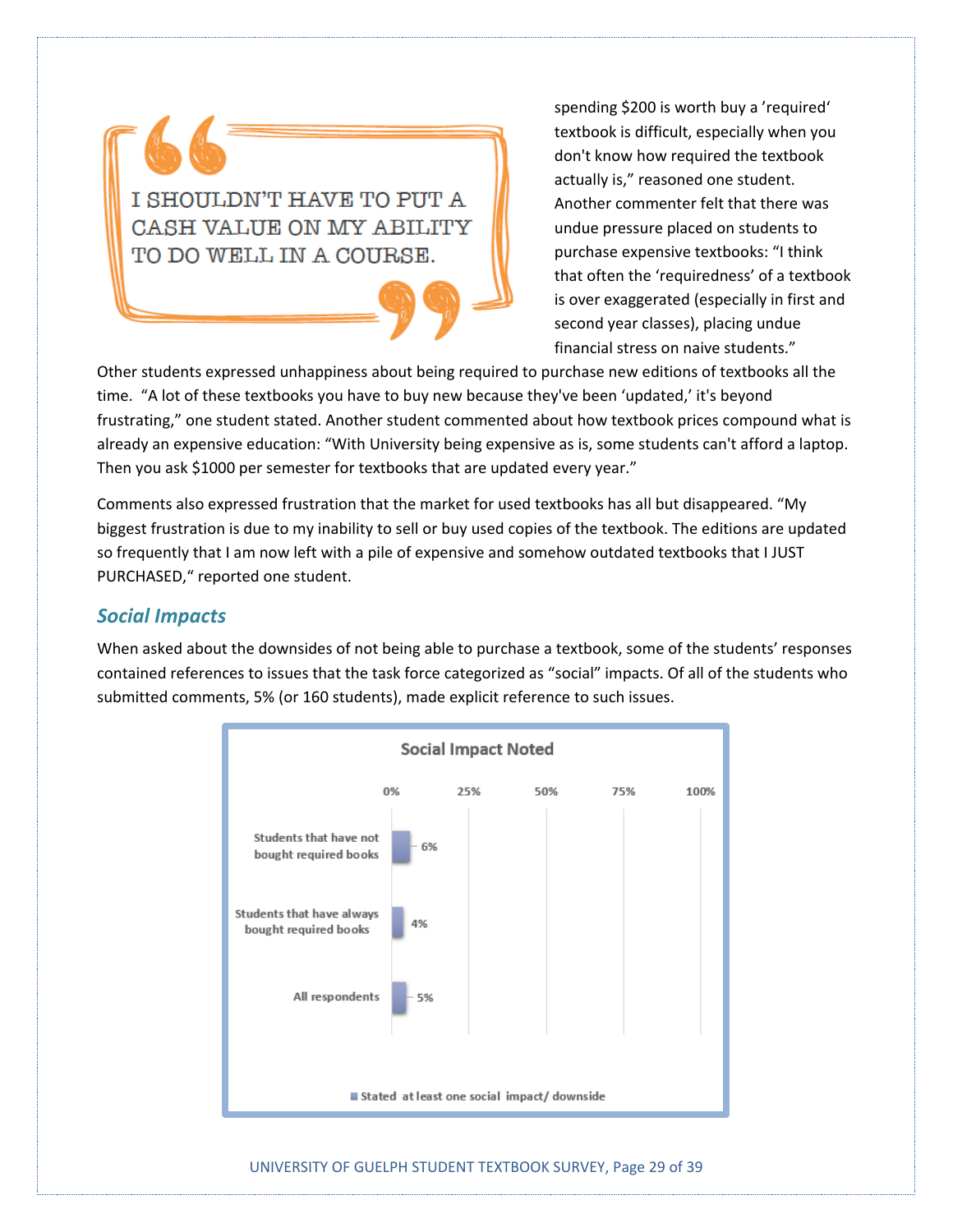I SHOULDN'T HAVE TO PUT A CASH VALUE ON MY ABILITY TO DO WELL IN A COURSE.

spending \$200 is worth buy a 'required' textbook is difficult, especially when you don't know how required the textbook actually is," reasoned one student. Another commenter felt that there was undue pressure placed on students to purchase expensive textbooks: "I think that often the 'requiredness' of a textbook is over exaggerated (especially in first and second year classes), placing undue financial stress on naive students."

Other students expressed unhappiness about being required to purchase new editions of textbooks all the time. "A lot of these textbooks you have to buy new because they've been 'updated,' it's beyond frustrating," one student stated. Another student commented about how textbook prices compound what is already an expensive education: "With University being expensive as is, some students can't afford a laptop. Then you ask \$1000 per semester for textbooks that are updated every year."

Comments also expressed frustration that the market for used textbooks has all but disappeared. "My biggest frustration is due to my inability to sell or buy used copies of the textbook. The editions are updated so frequently that I am now left with a pile of expensive and somehow outdated textbooks that I JUST PURCHASED," reported one student.

#### *Social Impacts*

When asked about the downsides of not being able to purchase a textbook, some of the students' responses contained references to issues that the task force categorized as "social" impacts. Of all of the students who submitted comments, 5% (or 160 students), made explicit reference to such issues.



UNIVERSITY OF GUELPH STUDENT TEXTBOOK SURVEY, Page 29 of 39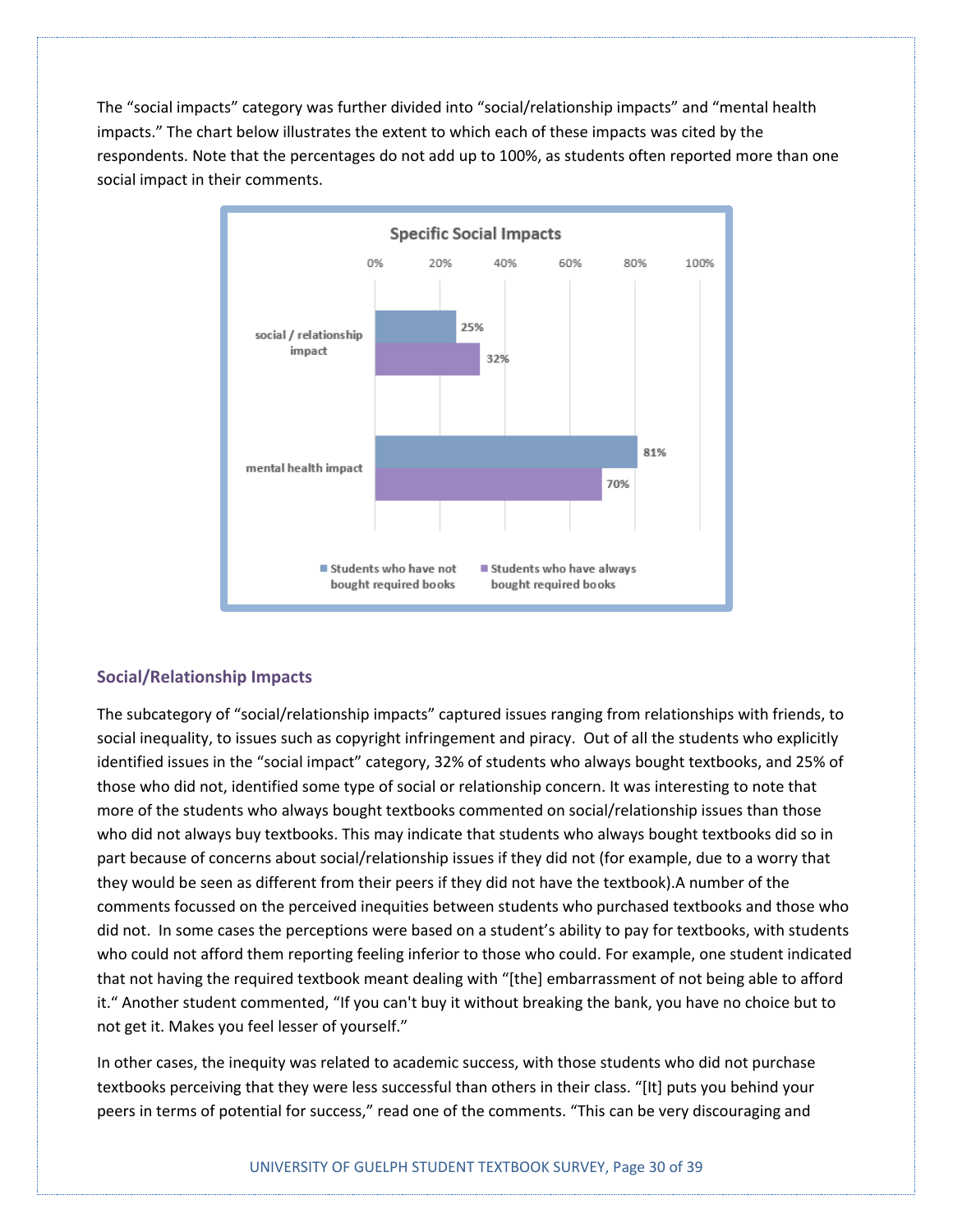The "social impacts" category was further divided into "social/relationship impacts" and "mental health impacts." The chart below illustrates the extent to which each of these impacts was cited by the respondents. Note that the percentages do not add up to 100%, as students often reported more than one social impact in their comments.



#### **Social/Relationship Impacts**

The subcategory of "social/relationship impacts" captured issues ranging from relationships with friends, to social inequality, to issues such as copyright infringement and piracy. Out of all the students who explicitly identified issues in the "social impact" category, 32% of students who always bought textbooks, and 25% of those who did not, identified some type of social or relationship concern. It was interesting to note that more of the students who always bought textbooks commented on social/relationship issues than those who did not always buy textbooks. This may indicate that students who always bought textbooks did so in part because of concerns about social/relationship issues if they did not (for example, due to a worry that they would be seen as different from their peers if they did not have the textbook).A number of the comments focussed on the perceived inequities between students who purchased textbooks and those who did not. In some cases the perceptions were based on a student's ability to pay for textbooks, with students who could not afford them reporting feeling inferior to those who could. For example, one student indicated that not having the required textbook meant dealing with "[the] embarrassment of not being able to afford it." Another student commented, "If you can't buy it without breaking the bank, you have no choice but to not get it. Makes you feel lesser of yourself."

In other cases, the inequity was related to academic success, with those students who did not purchase textbooks perceiving that they were less successful than others in their class. "[It] puts you behind your peers in terms of potential for success," read one of the comments. "This can be very discouraging and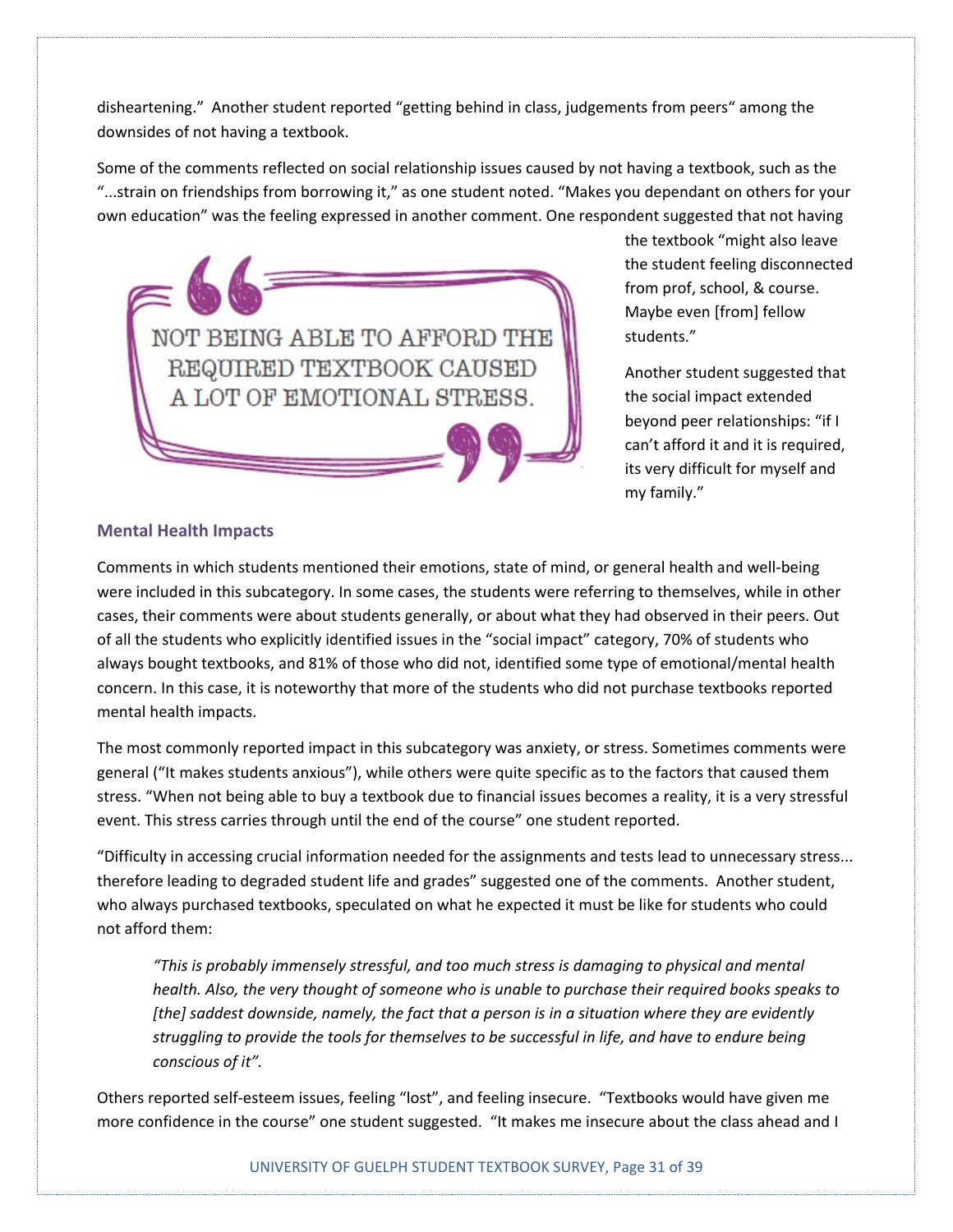disheartening." Another student reported "getting behind in class, judgements from peers" among the downsides of not having a textbook.

Some of the comments reflected on social relationship issues caused by not having a textbook, such as the "...strain on friendships from borrowing it," as one student noted. "Makes you dependant on others for your own education" was the feeling expressed in another comment. One respondent suggested that not having



the textbook "might also leave the student feeling disconnected from prof, school, & course. Maybe even [from] fellow students."

Another student suggested that the social impact extended beyond peer relationships: "if I can't afford it and it is required, its very difficult for myself and my family."

#### **Mental Health Impacts**

Comments in which students mentioned their emotions, state of mind, or general health and well-being were included in this subcategory. In some cases, the students were referring to themselves, while in other cases, their comments were about students generally, or about what they had observed in their peers. Out of all the students who explicitly identified issues in the "social impact" category, 70% of students who always bought textbooks, and 81% of those who did not, identified some type of emotional/mental health concern. In this case, it is noteworthy that more of the students who did not purchase textbooks reported mental health impacts.

The most commonly reported impact in this subcategory was anxiety, or stress. Sometimes comments were general ("It makes students anxious"), while others were quite specific as to the factors that caused them stress. "When not being able to buy a textbook due to financial issues becomes a reality, it is a very stressful event. This stress carries through until the end of the course" one student reported.

"Difficulty in accessing crucial information needed for the assignments and tests lead to unnecessary stress... therefore leading to degraded student life and grades" suggested one of the comments. Another student, who always purchased textbooks, speculated on what he expected it must be like for students who could not afford them:

*"This is probably immensely stressful, and too much stress is damaging to physical and mental health. Also, the very thought of someone who is unable to purchase their required books speaks to [the] saddest downside, namely, the fact that a person is in a situation where they are evidently struggling to provide the tools for themselves to be successful in life, and have to endure being conscious of it".*

Others reported self-esteem issues, feeling "lost", and feeling insecure. "Textbooks would have given me more confidence in the course" one student suggested. "It makes me insecure about the class ahead and I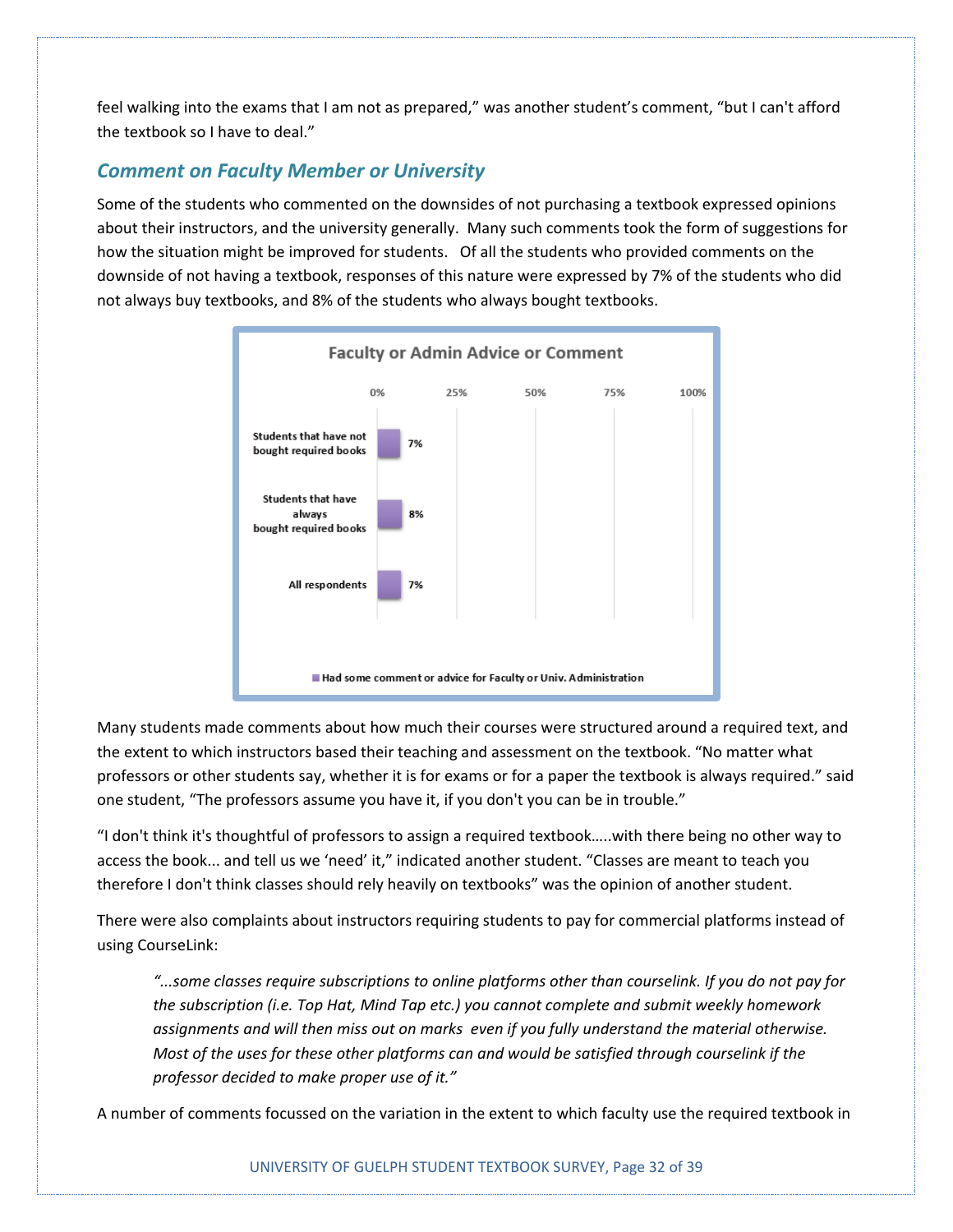feel walking into the exams that I am not as prepared," was another student's comment, "but I can't afford the textbook so I have to deal."

#### *Comment on Faculty Member or University*

Some of the students who commented on the downsides of not purchasing a textbook expressed opinions about their instructors, and the university generally. Many such comments took the form of suggestions for how the situation might be improved for students. Of all the students who provided comments on the downside of not having a textbook, responses of this nature were expressed by 7% of the students who did not always buy textbooks, and 8% of the students who always bought textbooks.



Many students made comments about how much their courses were structured around a required text, and the extent to which instructors based their teaching and assessment on the textbook. "No matter what professors or other students say, whether it is for exams or for a paper the textbook is always required." said one student, "The professors assume you have it, if you don't you can be in trouble."

"I don't think it's thoughtful of professors to assign a required textbook…..with there being no other way to access the book... and tell us we 'need' it," indicated another student. "Classes are meant to teach you therefore I don't think classes should rely heavily on textbooks" was the opinion of another student.

There were also complaints about instructors requiring students to pay for commercial platforms instead of using CourseLink:

*"...some classes require subscriptions to online platforms other than courselink. If you do not pay for the subscription (i.e. Top Hat, Mind Tap etc.) you cannot complete and submit weekly homework assignments and will then miss out on marks even if you fully understand the material otherwise. Most of the uses for these other platforms can and would be satisfied through courselink if the professor decided to make proper use of it."*

A number of comments focussed on the variation in the extent to which faculty use the required textbook in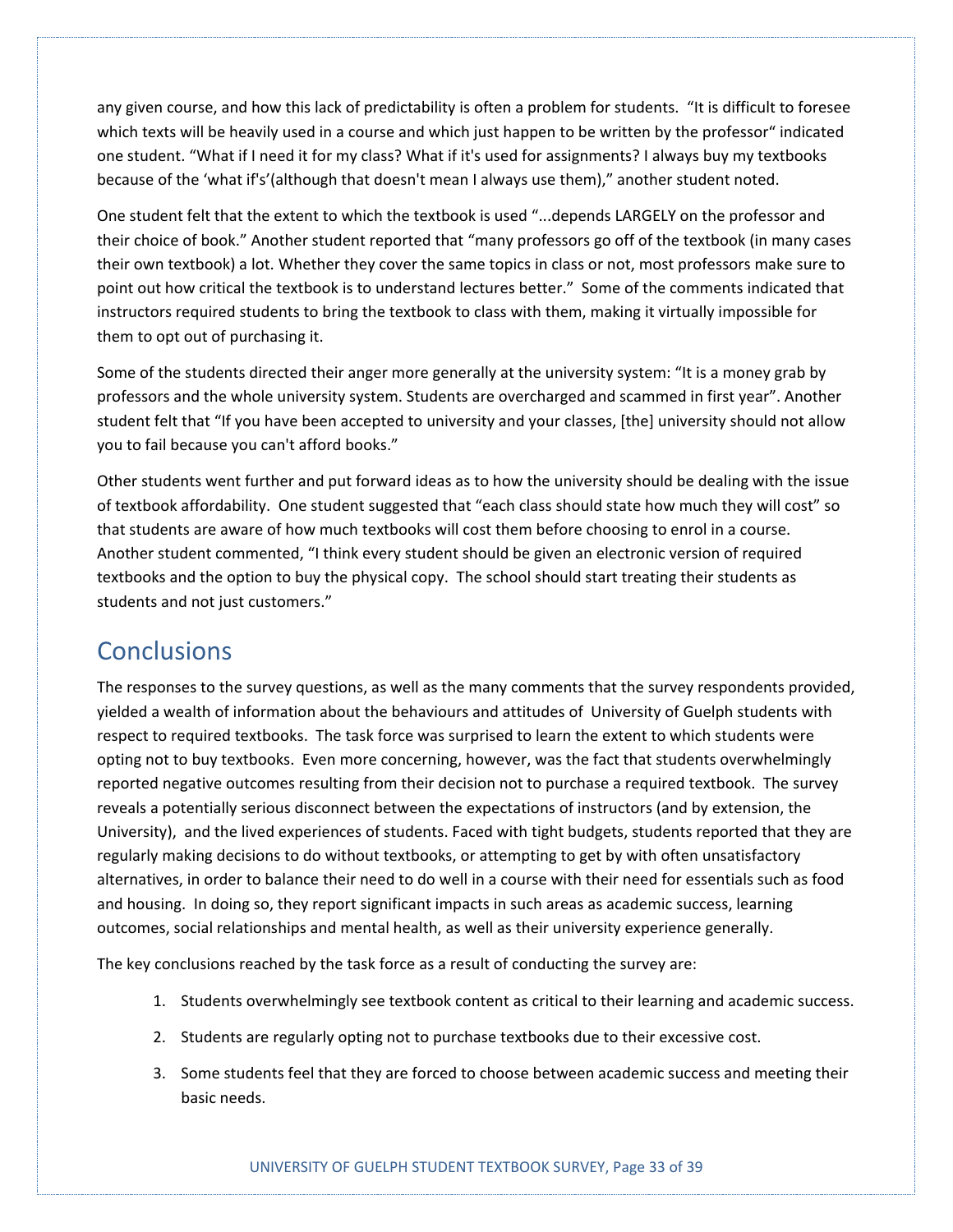any given course, and how this lack of predictability is often a problem for students. "It is difficult to foresee which texts will be heavily used in a course and which just happen to be written by the professor" indicated one student. "What if I need it for my class? What if it's used for assignments? I always buy my textbooks because of the 'what if's'(although that doesn't mean I always use them)," another student noted.

One student felt that the extent to which the textbook is used "...depends LARGELY on the professor and their choice of book." Another student reported that "many professors go off of the textbook (in many cases their own textbook) a lot. Whether they cover the same topics in class or not, most professors make sure to point out how critical the textbook is to understand lectures better." Some of the comments indicated that instructors required students to bring the textbook to class with them, making it virtually impossible for them to opt out of purchasing it.

Some of the students directed their anger more generally at the university system: "It is a money grab by professors and the whole university system. Students are overcharged and scammed in first year". Another student felt that "If you have been accepted to university and your classes, [the] university should not allow you to fail because you can't afford books."

Other students went further and put forward ideas as to how the university should be dealing with the issue of textbook affordability. One student suggested that "each class should state how much they will cost" so that students are aware of how much textbooks will cost them before choosing to enrol in a course. Another student commented, "I think every student should be given an electronic version of required textbooks and the option to buy the physical copy. The school should start treating their students as students and not just customers."

### **Conclusions**

The responses to the survey questions, as well as the many comments that the survey respondents provided, yielded a wealth of information about the behaviours and attitudes of University of Guelph students with respect to required textbooks. The task force was surprised to learn the extent to which students were opting not to buy textbooks. Even more concerning, however, was the fact that students overwhelmingly reported negative outcomes resulting from their decision not to purchase a required textbook. The survey reveals a potentially serious disconnect between the expectations of instructors (and by extension, the University), and the lived experiences of students. Faced with tight budgets, students reported that they are regularly making decisions to do without textbooks, or attempting to get by with often unsatisfactory alternatives, in order to balance their need to do well in a course with their need for essentials such as food and housing. In doing so, they report significant impacts in such areas as academic success, learning outcomes, social relationships and mental health, as well as their university experience generally.

The key conclusions reached by the task force as a result of conducting the survey are:

- 1. Students overwhelmingly see textbook content as critical to their learning and academic success.
- 2. Students are regularly opting not to purchase textbooks due to their excessive cost.
- 3. Some students feel that they are forced to choose between academic success and meeting their basic needs.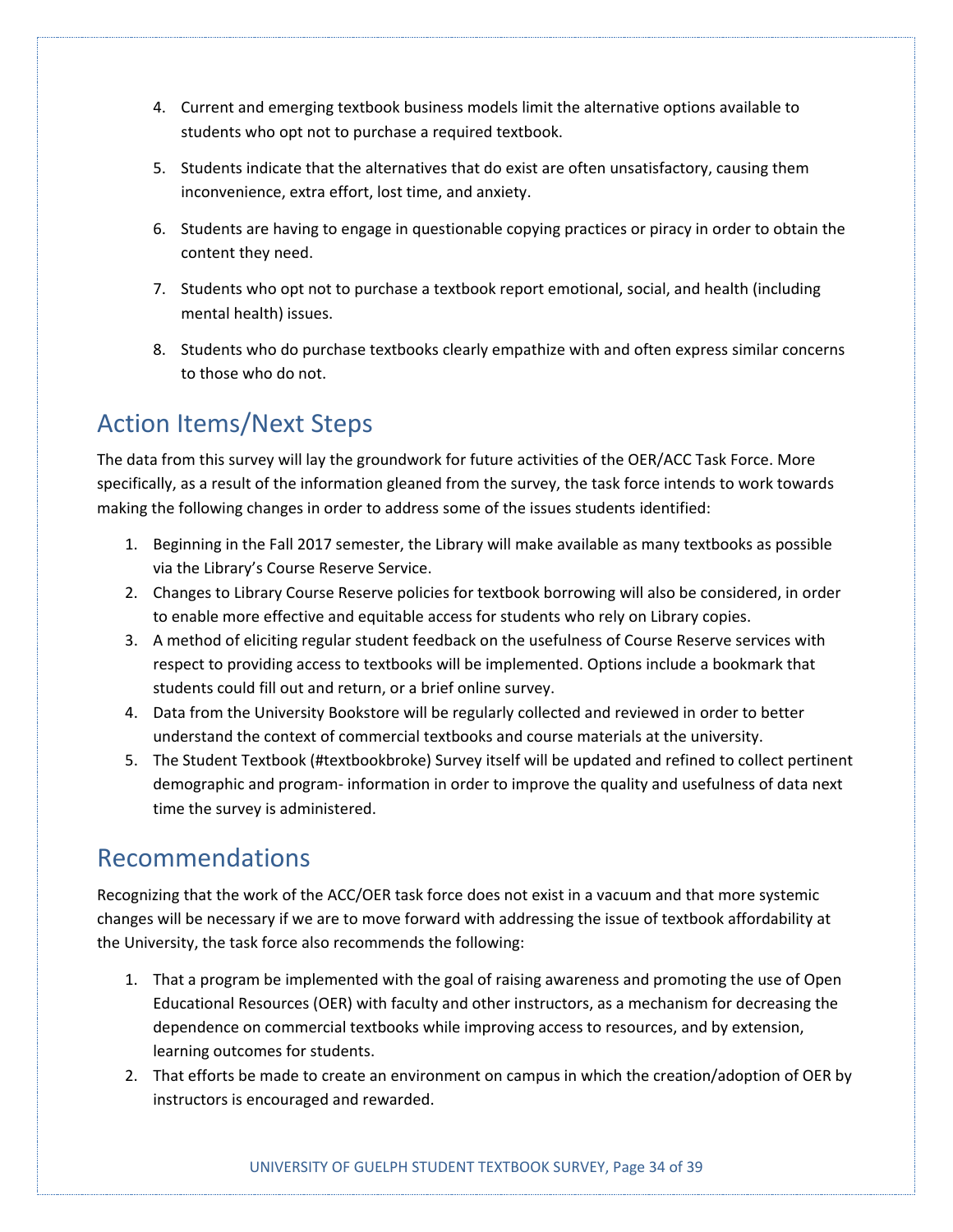- 4. Current and emerging textbook business models limit the alternative options available to students who opt not to purchase a required textbook.
- 5. Students indicate that the alternatives that do exist are often unsatisfactory, causing them inconvenience, extra effort, lost time, and anxiety.
- 6. Students are having to engage in questionable copying practices or piracy in order to obtain the content they need.
- 7. Students who opt not to purchase a textbook report emotional, social, and health (including mental health) issues.
- 8. Students who do purchase textbooks clearly empathize with and often express similar concerns to those who do not.

# Action Items/Next Steps

The data from this survey will lay the groundwork for future activities of the OER/ACC Task Force. More specifically, as a result of the information gleaned from the survey, the task force intends to work towards making the following changes in order to address some of the issues students identified:

- 1. Beginning in the Fall 2017 semester, the Library will make available as many textbooks as possible via the Library's Course Reserve Service.
- 2. Changes to Library Course Reserve policies for textbook borrowing will also be considered, in order to enable more effective and equitable access for students who rely on Library copies.
- 3. A method of eliciting regular student feedback on the usefulness of Course Reserve services with respect to providing access to textbooks will be implemented. Options include a bookmark that students could fill out and return, or a brief online survey.
- 4. Data from the University Bookstore will be regularly collected and reviewed in order to better understand the context of commercial textbooks and course materials at the university.
- 5. The Student Textbook (#textbookbroke) Survey itself will be updated and refined to collect pertinent demographic and program- information in order to improve the quality and usefulness of data next time the survey is administered.

## Recommendations

Recognizing that the work of the ACC/OER task force does not exist in a vacuum and that more systemic changes will be necessary if we are to move forward with addressing the issue of textbook affordability at the University, the task force also recommends the following:

- 1. That a program be implemented with the goal of raising awareness and promoting the use of Open Educational Resources (OER) with faculty and other instructors, as a mechanism for decreasing the dependence on commercial textbooks while improving access to resources, and by extension, learning outcomes for students.
- 2. That efforts be made to create an environment on campus in which the creation/adoption of OER by instructors is encouraged and rewarded.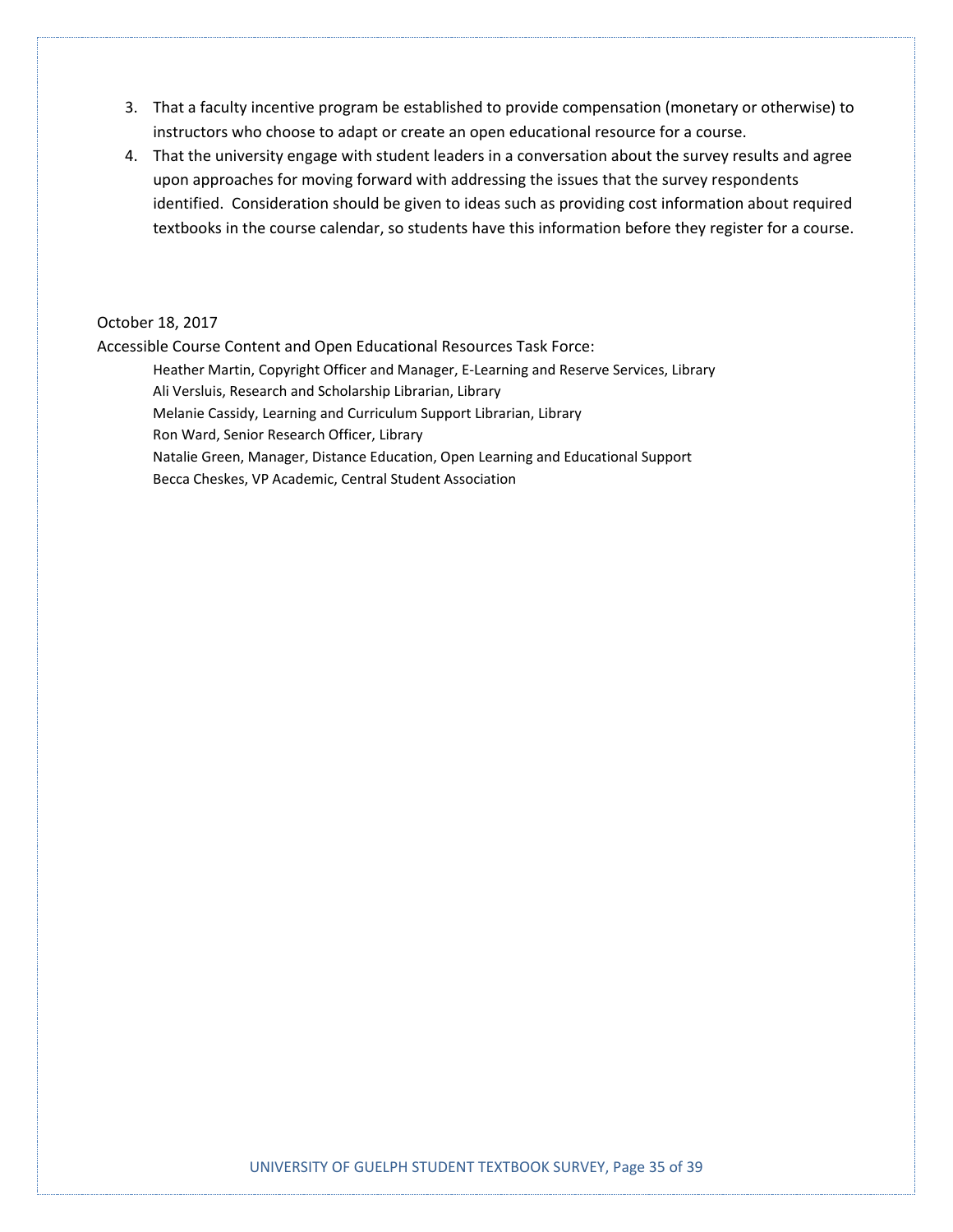- 3. That a faculty incentive program be established to provide compensation (monetary or otherwise) to instructors who choose to adapt or create an open educational resource for a course.
- 4. That the university engage with student leaders in a conversation about the survey results and agree upon approaches for moving forward with addressing the issues that the survey respondents identified. Consideration should be given to ideas such as providing cost information about required textbooks in the course calendar, so students have this information before they register for a course.

#### October 18, 2017

Accessible Course Content and Open Educational Resources Task Force:

Heather Martin, Copyright Officer and Manager, E-Learning and Reserve Services, Library Ali Versluis, Research and Scholarship Librarian, Library Melanie Cassidy, Learning and Curriculum Support Librarian, Library Ron Ward, Senior Research Officer, Library Natalie Green, Manager, Distance Education, Open Learning and Educational Support Becca Cheskes, VP Academic, Central Student Association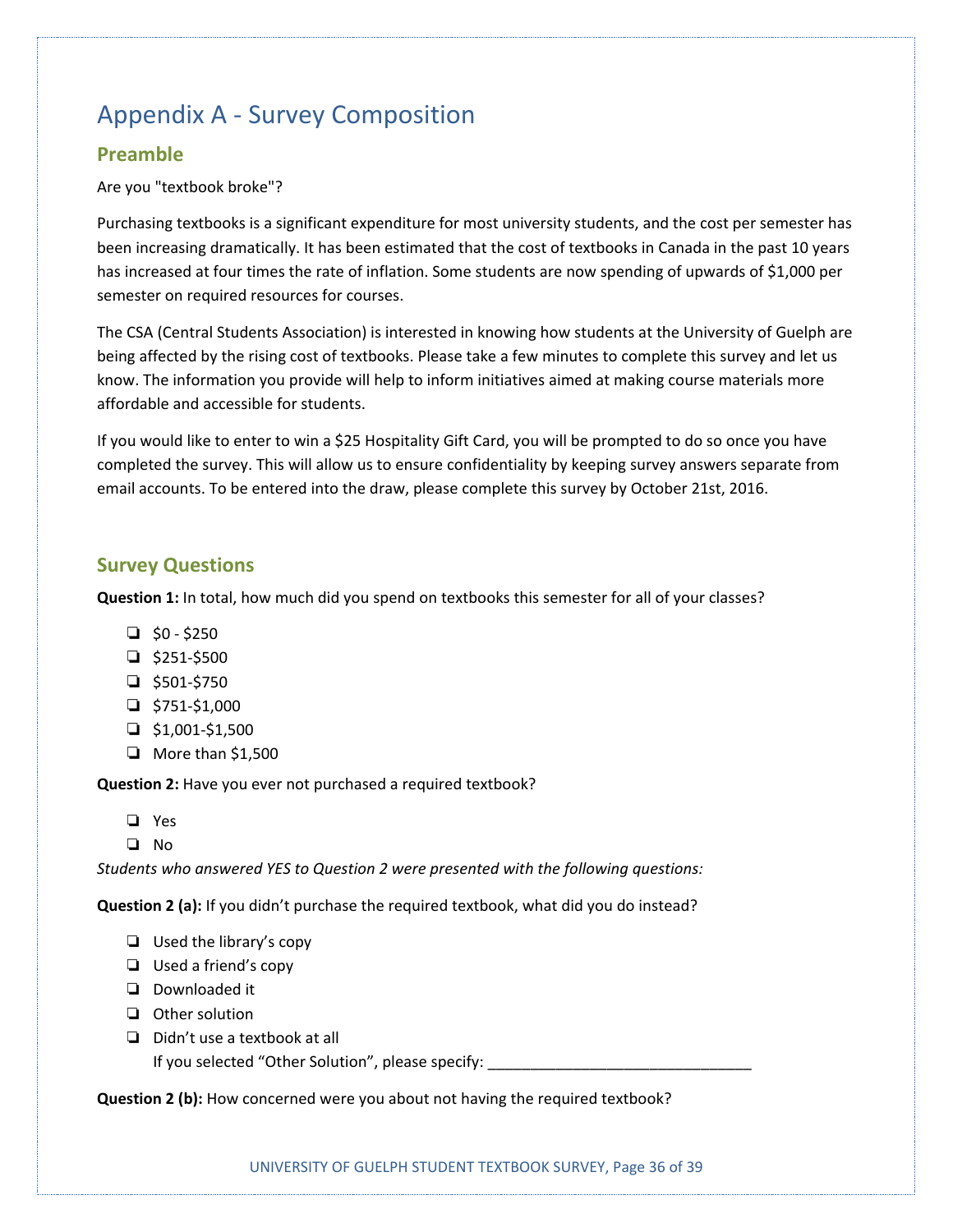# Appendix A - Survey Composition

#### **Preamble**

#### Are you "textbook broke"?

Purchasing textbooks is a significant expenditure for most university students, and the cost per semester has been increasing dramatically. It has been estimated that the cost of textbooks in Canada in the past 10 years has increased at four times the rate of inflation. Some students are now spending of upwards of \$1,000 per semester on required resources for courses.

The CSA (Central Students Association) is interested in knowing how students at the University of Guelph are being affected by the rising cost of textbooks. Please take a few minutes to complete this survey and let us know. The information you provide will help to inform initiatives aimed at making course materials more affordable and accessible for students.

If you would like to enter to win a \$25 Hospitality Gift Card, you will be prompted to do so once you have completed the survey. This will allow us to ensure confidentiality by keeping survey answers separate from email accounts. To be entered into the draw, please complete this survey by October 21st, 2016.

#### **Survey Questions**

**Question 1:** In total, how much did you spend on textbooks this semester for all of your classes?

- $\Box$  \$0 \$250
- ❏ \$251-\$500
- ❏ \$501-\$750
- $\Box$  \$751-\$1,000
- $\Box$  \$1,001-\$1,500
- ❏ More than \$1,500

**Question 2:** Have you ever not purchased a required textbook?

- ❏ Yes
- ❏ No

*Students who answered YES to Question 2 were presented with the following questions:*

**Question 2 (a):** If you didn't purchase the required textbook, what did you do instead?

- ❏ Used the library's copy
- ❏ Used a friend's copy
- ❏ Downloaded it
- ❏ Other solution
- ❏ Didn't use a textbook at all

If you selected "Other Solution", please specify:

**Question 2 (b):** How concerned were you about not having the required textbook?

UNIVERSITY OF GUELPH STUDENT TEXTBOOK SURVEY, Page 36 of 39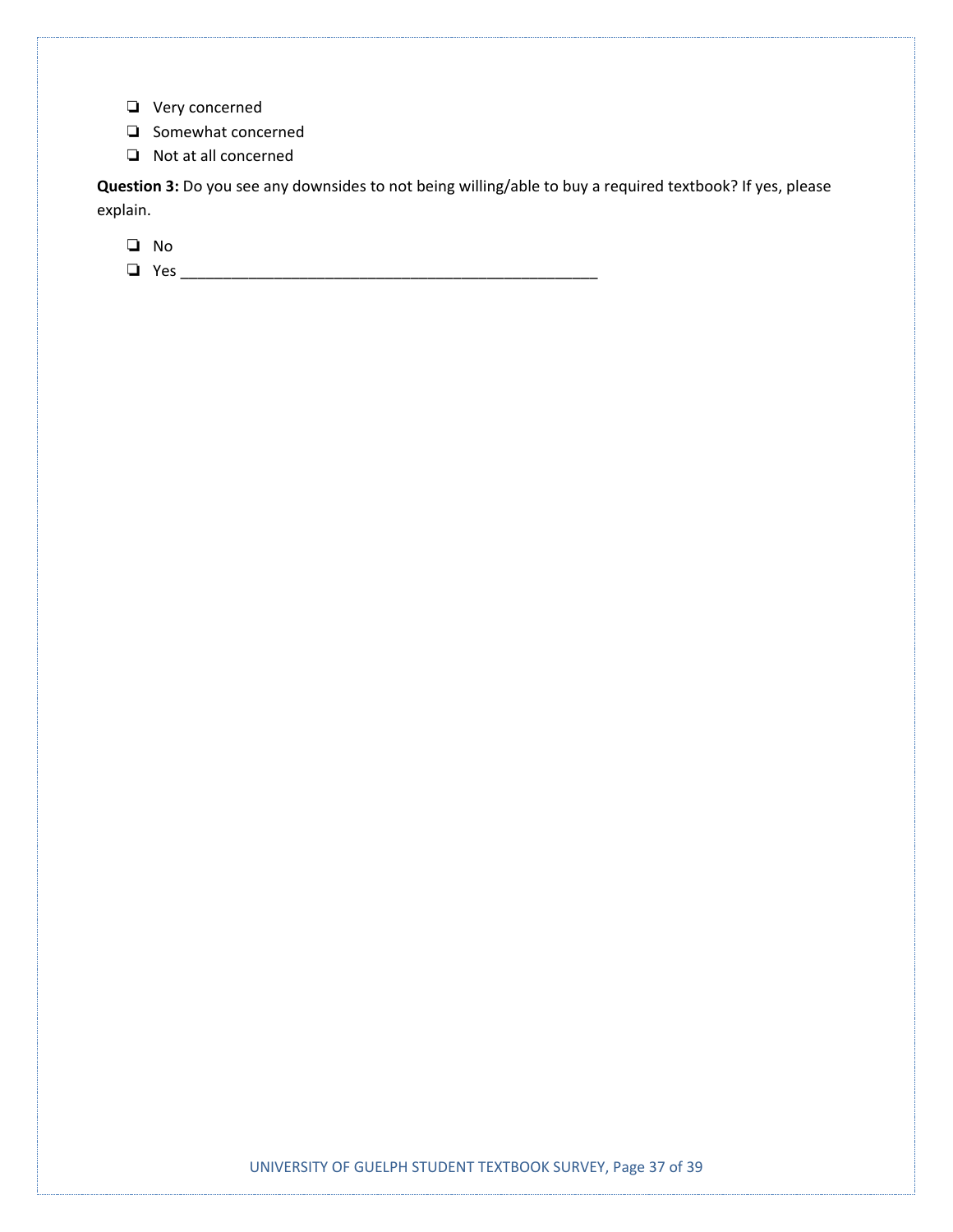- ❏ Very concerned
- ❏ Somewhat concerned
- ❏ Not at all concerned

**Question 3:** Do you see any downsides to not being willing/able to buy a required textbook? If yes, please explain.

❏ No

❏ Yes \_\_\_\_\_\_\_\_\_\_\_\_\_\_\_\_\_\_\_\_\_\_\_\_\_\_\_\_\_\_\_\_\_\_\_\_\_\_\_\_\_\_\_\_\_\_\_\_\_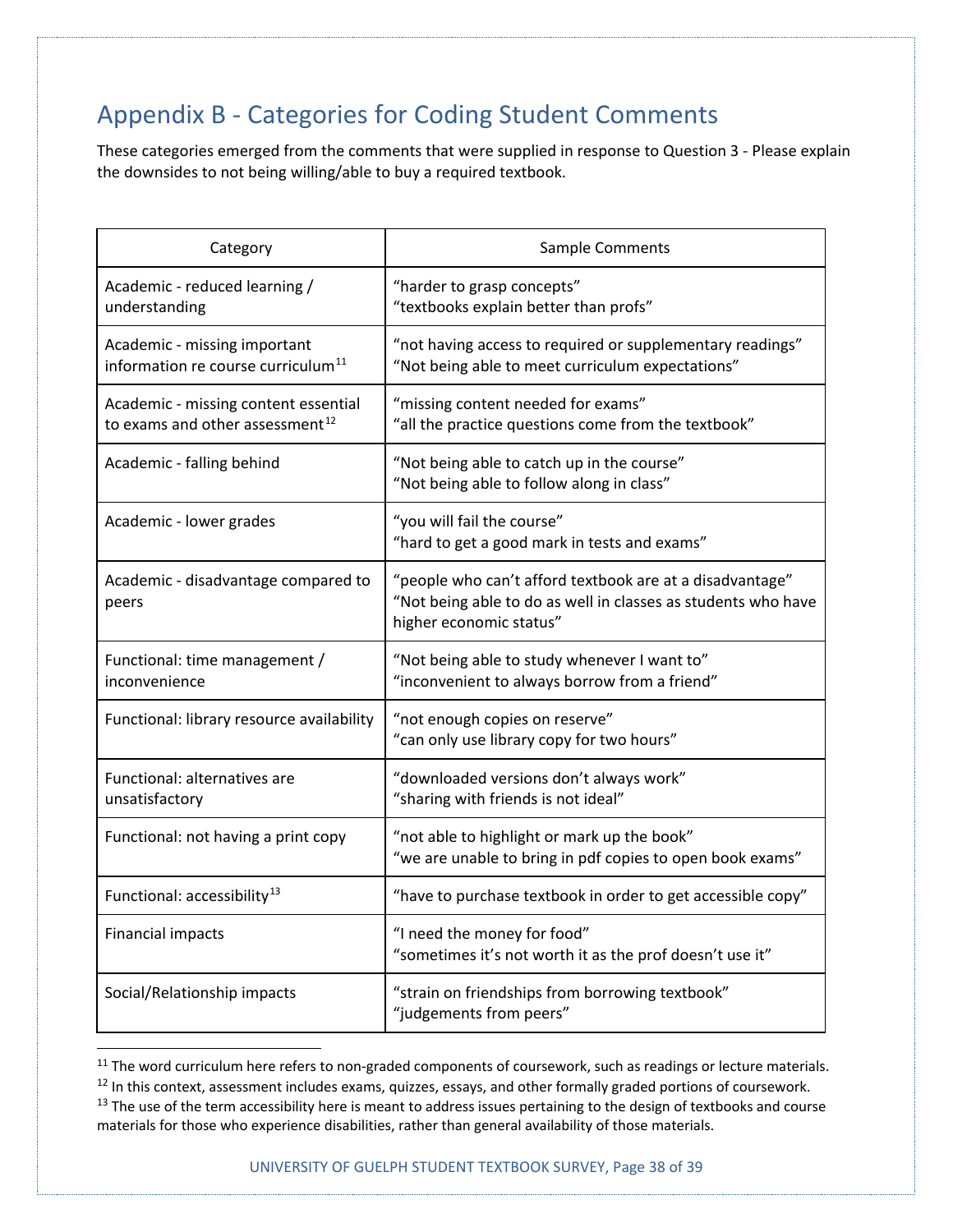# Appendix B - Categories for Coding Student Comments

These categories emerged from the comments that were supplied in response to Question 3 - Please explain the downsides to not being willing/able to buy a required textbook.

| Category                                                                            | Sample Comments                                                                                                                                      |
|-------------------------------------------------------------------------------------|------------------------------------------------------------------------------------------------------------------------------------------------------|
| Academic - reduced learning /<br>understanding                                      | "harder to grasp concepts"<br>"textbooks explain better than profs"                                                                                  |
| Academic - missing important<br>information re course curriculum <sup>11</sup>      | "not having access to required or supplementary readings"<br>"Not being able to meet curriculum expectations"                                        |
| Academic - missing content essential<br>to exams and other assessment <sup>12</sup> | "missing content needed for exams"<br>"all the practice questions come from the textbook"                                                            |
| Academic - falling behind                                                           | "Not being able to catch up in the course"<br>"Not being able to follow along in class"                                                              |
| Academic - lower grades                                                             | "you will fail the course"<br>"hard to get a good mark in tests and exams"                                                                           |
| Academic - disadvantage compared to<br>peers                                        | "people who can't afford textbook are at a disadvantage"<br>"Not being able to do as well in classes as students who have<br>higher economic status" |
| Functional: time management /<br>inconvenience                                      | "Not being able to study whenever I want to"<br>"inconvenient to always borrow from a friend"                                                        |
| Functional: library resource availability                                           | "not enough copies on reserve"<br>"can only use library copy for two hours"                                                                          |
| Functional: alternatives are<br>unsatisfactory                                      | "downloaded versions don't always work"<br>"sharing with friends is not ideal"                                                                       |
| Functional: not having a print copy                                                 | "not able to highlight or mark up the book"<br>"we are unable to bring in pdf copies to open book exams"                                             |
| Functional: accessibility <sup>13</sup>                                             | "have to purchase textbook in order to get accessible copy"                                                                                          |
| <b>Financial impacts</b>                                                            | "I need the money for food"<br>"sometimes it's not worth it as the prof doesn't use it"                                                              |
| Social/Relationship impacts                                                         | "strain on friendships from borrowing textbook"<br>"judgements from peers"                                                                           |

<span id="page-37-0"></span><sup>&</sup>lt;sup>11</sup> The word curriculum here refers to non-graded components of coursework, such as readings or lecture materials.<br><sup>12</sup> In this context, assessment includes exams, quizzes, essays, and other formally graded portions of c

<span id="page-37-2"></span><span id="page-37-1"></span><sup>&</sup>lt;sup>13</sup> The use of the term accessibility here is meant to address issues pertaining to the design of textbooks and course materials for those who experience disabilities, rather than general availability of those materials.